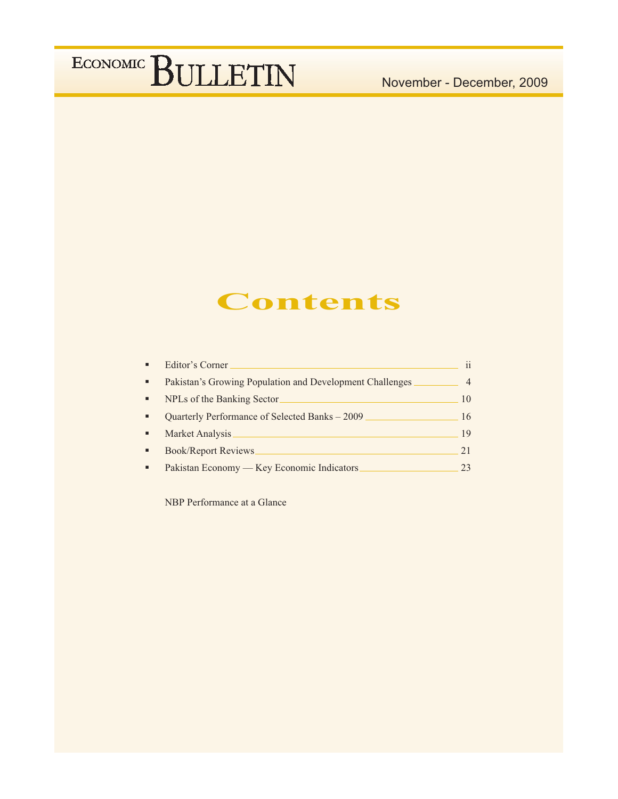## **Contents**

|   | Editor's Corner                                          | $\mathbf{ii}$  |
|---|----------------------------------------------------------|----------------|
| ٠ | Pakistan's Growing Population and Development Challenges | $\overline{4}$ |
| ٠ | NPLs of the Banking Sector                               | 10             |
|   | Quarterly Performance of Selected Banks - 2009           | 16             |
|   | Market Analysis                                          | 19             |
|   | <b>Book/Report Reviews</b>                               | 21             |
|   | Pakistan Economy — Key Economic Indicators               | 23             |

NBP Performance at a Glance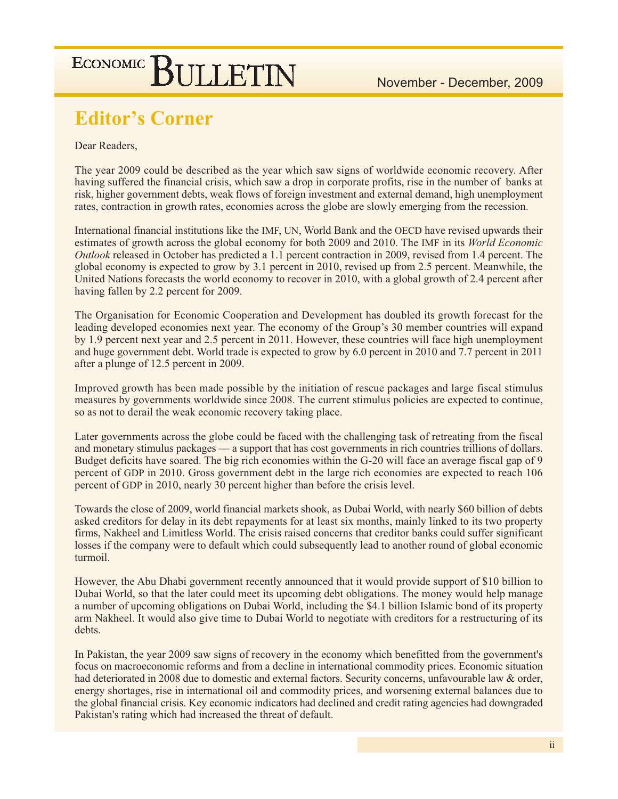## **Editor's Corner**

### Dear Readers,

The year 2009 could be described as the year which saw signs of worldwide economic recovery. After having suffered the financial crisis, which saw a drop in corporate profits, rise in the number of banks at risk, higher government debts, weak flows of foreign investment and external demand, high unemployment rates, contraction in growth rates, economies across the globe are slowly emerging from the recession.

International financial institutions like the IMF, UN, World Bank and the OECD have revised upwards their estimates of growth across the global economy for both 2009 and 2010. The IMF in its World Economic Outlook released in October has predicted a 1.1 percent contraction in 2009, revised from 1.4 percent. The global economy is expected to grow by 3.1 percent in 2010, revised up from 2.5 percent. Meanwhile, the United Nations forecasts the world economy to recover in 2010, with a global growth of 2.4 percent after having fallen by 2.2 percent for 2009.

The Organisation for Economic Cooperation and Development has doubled its growth forecast for the leading developed economies next year. The economy of the Group's 30 member countries will expand by 1.9 percent next year and 2.5 percent in 2011. However, these countries will face high unemployment and huge government debt. World trade is expected to grow by 6.0 percent in 2010 and 7.7 percent in 2011 after a plunge of 12.5 percent in 2009.

Improved growth has been made possible by the initiation of rescue packages and large fiscal stimulus measures by governments worldwide since 2008. The current stimulus policies are expected to continue, so as not to derail the weak economic recovery taking place.

Later governments across the globe could be faced with the challenging task of retreating from the fiscal and monetary stimulus packages — a support that has cost governments in rich countries trillions of dollars. Budget deficits have soared. The big rich economies within the G-20 will face an average fiscal gap of 9 percent of GDP in 2010. Gross government debt in the large rich economies are expected to reach 106 percent of GDP in 2010, nearly 30 percent higher than before the crisis level.

Towards the close of 2009, world financial markets shook, as Dubai World, with nearly \$60 billion of debts asked creditors for delay in its debt repayments for at least six months, mainly linked to its two property firms, Nakheel and Limitless World. The crisis raised concerns that creditor banks could suffer significant losses if the company were to default which could subsequently lead to another round of global economic turmoil.

However, the Abu Dhabi government recently announced that it would provide support of \$10 billion to Dubai World, so that the later could meet its upcoming debt obligations. The money would help manage a number of upcoming obligations on Dubai World, including the \$4.1 billion Islamic bond of its property arm Nakheel. It would also give time to Dubai World to negotiate with creditors for a restructuring of its debts.

In Pakistan, the year 2009 saw signs of recovery in the economy which benefitted from the government's focus on macroeconomic reforms and from a decline in international commodity prices. Economic situation had deteriorated in 2008 due to domestic and external factors. Security concerns, unfavourable law & order, energy shortages, rise in international oil and commodity prices, and worsening external balances due to the global financial crisis. Key economic indicators had declined and credit rating agencies had downgraded Pakistan's rating which had increased the threat of default.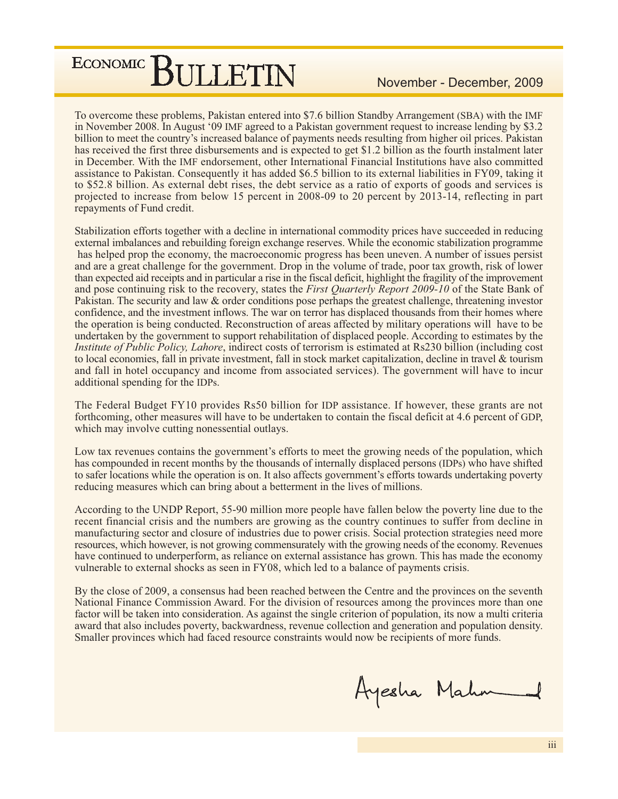To overcome these problems, Pakistan entered into \$7.6 billion Standby Arrangement (SBA) with the IMF in November 2008. In August '09 IMF agreed to a Pakistan government request to increase lending by \$3.2 billion to meet the country's increased balance of payments needs resulting from higher oil prices. Pakistan has received the first three disbursements and is expected to get \$1.2 billion as the fourth instalment later in December. With the IMF endorsement, other International Financial Institutions have also committed assistance to Pakistan. Consequently it has added \$6.5 billion to its external liabilities in FY09, taking it to \$52.8 billion. As external debt rises, the debt service as a ratio of exports of goods and services is projected to increase from below 15 percent in 2008-09 to 20 percent by 2013-14, reflecting in part repayments of Fund credit.

Stabilization efforts together with a decline in international commodity prices have succeeded in reducing external imbalances and rebuilding foreign exchange reserves. While the economic stabilization programme has helped prop the economy, the macroeconomic progress has been uneven. A number of issues persist and are a great challenge for the government. Drop in the volume of trade, poor tax growth, risk of lower than expected aid receipts and in particular a rise in the fiscal deficit, highlight the fragility of the improvement and pose continuing risk to the recovery, states the *First Quarterly Report 2009-10* of the State Bank of Pakistan. The security and law & order conditions pose perhaps the greatest challenge, threatening investor confidence, and the investment inflows. The war on terror has displaced thousands from their homes where the operation is being conducted. Reconstruction of areas affected by military operations will have to be undertaken by the government to support rehabilitation of displaced people. According to estimates by the *Institute of Public Policy, Lahore, indirect costs of terrorism is estimated at Rs230 billion (including cost* to local economies, fall in private investment, fall in stock market capitalization, decline in travel & tourism and fall in hotel occupancy and income from associated services). The government will have to incur additional spending for the IDPs.

The Federal Budget FY10 provides Rs50 billion for IDP assistance. If however, these grants are not forthcoming, other measures will have to be undertaken to contain the fiscal deficit at 4.6 percent of GDP, which may involve cutting nonessential outlays.

Low tax revenues contains the government's efforts to meet the growing needs of the population, which has compounded in recent months by the thousands of internally displaced persons (IDPs) who have shifted to safer locations while the operation is on. It also affects government's efforts towards undertaking poverty reducing measures which can bring about a betterment in the lives of millions.

According to the UNDP Report, 55-90 million more people have fallen below the poverty line due to the recent financial crisis and the numbers are growing as the country continues to suffer from decline in manufacturing sector and closure of industries due to power crisis. Social protection strategies need more resources, which however, is not growing commensurately with the growing needs of the economy. Revenues have continued to underperform, as reliance on external assistance has grown. This has made the economy vulnerable to external shocks as seen in FY08, which led to a balance of payments crisis.

By the close of 2009, a consensus had been reached between the Centre and the provinces on the seventh National Finance Commission Award. For the division of resources among the provinces more than one factor will be taken into consideration. As against the single criterion of population, its now a multi criteria award that also includes poverty, backwardness, revenue collection and generation and population density. Smaller provinces which had faced resource constraints would now be recipients of more funds.

Ayesha Mahm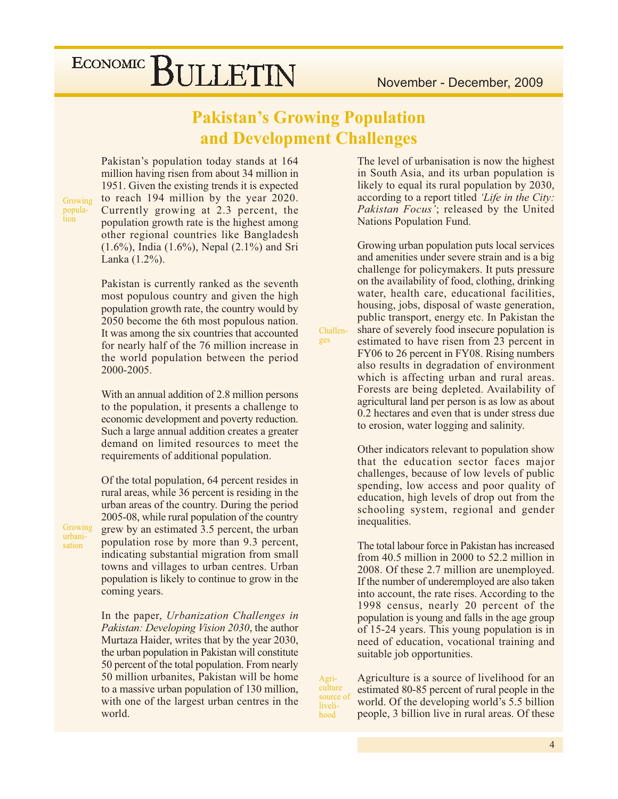## **Pakistan's Growing Population** and Development Challenges

Challen-

ges

Agriculture

liveli-

hood

Pakistan's population today stands at 164 million having risen from about 34 million in 1951. Given the existing trends it is expected to reach 194 million by the year 2020. Currently growing at 2.3 percent, the population growth rate is the highest among other regional countries like Bangladesh  $(1.6\%)$ , India  $(1.6\%)$ , Nepal  $(2.1\%)$  and Sri Lanka (1.2%).

Pakistan is currently ranked as the seventh most populous country and given the high population growth rate, the country would by 2050 become the 6th most populous nation. It was among the six countries that accounted for nearly half of the 76 million increase in the world population between the period 2000-2005.

With an annual addition of 2.8 million persons to the population, it presents a challenge to economic development and poverty reduction. Such a large annual addition creates a greater demand on limited resources to meet the requirements of additional population.

Of the total population, 64 percent resides in rural areas, while 36 percent is residing in the urban areas of the country. During the period 2005-08, while rural population of the country grew by an estimated 3.5 percent, the urban population rose by more than 9.3 percent, indicating substantial migration from small towns and villages to urban centres. Urban population is likely to continue to grow in the coming years.

In the paper, Urbanization Challenges in Pakistan: Developing Vision 2030, the author Murtaza Haider, writes that by the year 2030, the urban population in Pakistan will constitute 50 percent of the total population. From nearly 50 million urbanites, Pakistan will be home to a massive urban population of 130 million, with one of the largest urban centres in the world.

The level of urbanisation is now the highest in South Asia, and its urban population is likely to equal its rural population by 2030, according to a report titled 'Life in the City: Pakistan Focus'; released by the United **Nations Population Fund.** 

Growing urban population puts local services and amenities under severe strain and is a big challenge for policymakers. It puts pressure on the availability of food, clothing, drinking water, health care, educational facilities, housing, jobs, disposal of waste generation, public transport, energy etc. In Pakistan the share of severely food insecure population is estimated to have risen from 23 percent in FY06 to 26 percent in FY08. Rising numbers also results in degradation of environment which is affecting urban and rural areas. Forests are being depleted. Availability of agricultural land per person is as low as about 0.2 hectares and even that is under stress due to erosion, water logging and salinity.

Other indicators relevant to population show that the education sector faces major challenges, because of low levels of public spending, low access and poor quality of education, high levels of drop out from the schooling system, regional and gender inequalities.

The total labour force in Pakistan has increased from 40.5 million in 2000 to  $52.2$  million in 2008. Of these 2.7 million are unemployed. If the number of underemployed are also taken into account, the rate rises. According to the 1998 census, nearly 20 percent of the population is young and falls in the age group of 15-24 years. This young population is in need of education, vocational training and suitable job opportunities.

Agriculture is a source of livelihood for an estimated 80-85 percent of rural people in the source of world. Of the developing world's 5.5 billion people, 3 billion live in rural areas. Of these

Growing urbanisation

Growing popula-<br>tion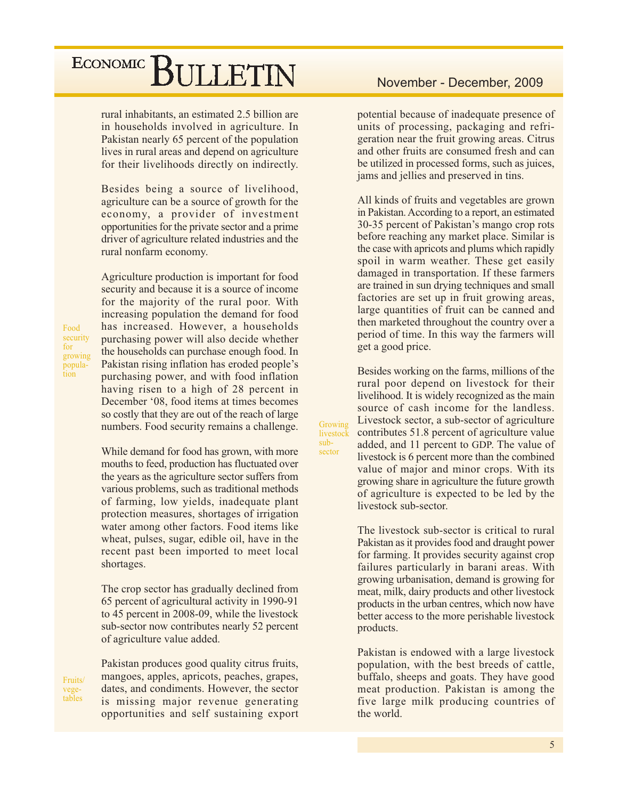rural inhabitants, an estimated 2.5 billion are in households involved in agriculture. In Pakistan nearly 65 percent of the population lives in rural areas and depend on agriculture for their livelihoods directly on indirectly.

Besides being a source of livelihood, agriculture can be a source of growth for the economy, a provider of investment opportunities for the private sector and a prime driver of agriculture related industries and the rural nonfarm economy.

Agriculture production is important for food security and because it is a source of income for the majority of the rural poor. With increasing population the demand for food has increased. However, a households purchasing power will also decide whether the households can purchase enough food. In Pakistan rising inflation has eroded people's purchasing power, and with food inflation having risen to a high of 28 percent in December '08, food items at times becomes so costly that they are out of the reach of large numbers. Food security remains a challenge.

While demand for food has grown, with more mouths to feed, production has fluctuated over the years as the agriculture sector suffers from various problems, such as traditional methods of farming, low yields, inadequate plant protection measures, shortages of irrigation water among other factors. Food items like wheat, pulses, sugar, edible oil, have in the recent past been imported to meet local shortages.

The crop sector has gradually declined from 65 percent of agricultural activity in 1990-91 to 45 percent in 2008-09, while the livestock sub-sector now contributes nearly 52 percent of agriculture value added.

Pakistan produces good quality citrus fruits, mangoes, apples, apricots, peaches, grapes, dates, and condiments. However, the sector is missing major revenue generating opportunities and self sustaining export

potential because of inadequate presence of units of processing, packaging and refrigeration near the fruit growing areas. Citrus and other fruits are consumed fresh and can be utilized in processed forms, such as juices, jams and jellies and preserved in tins.

All kinds of fruits and vegetables are grown in Pakistan. According to a report, an estimated 30-35 percent of Pakistan's mango crop rots before reaching any market place. Similar is the case with apricots and plums which rapidly spoil in warm weather. These get easily damaged in transportation. If these farmers are trained in sun drying techniques and small factories are set up in fruit growing areas, large quantities of fruit can be canned and then marketed throughout the country over a period of time. In this way the farmers will get a good price.

Besides working on the farms, millions of the rural poor depend on livestock for their livelihood. It is widely recognized as the main source of cash income for the landless. Livestock sector, a sub-sector of agriculture contributes 51.8 percent of agriculture value added, and 11 percent to GDP. The value of livestock is 6 percent more than the combined value of major and minor crops. With its growing share in agriculture the future growth of agriculture is expected to be led by the livestock sub-sector.

Growing

livestock  $sub-$ 

sector

The livestock sub-sector is critical to rural Pakistan as it provides food and draught power for farming. It provides security against crop failures particularly in barani areas. With growing urbanisation, demand is growing for meat, milk, dairy products and other livestock products in the urban centres, which now have better access to the more perishable livestock products.

Pakistan is endowed with a large livestock population, with the best breeds of cattle, buffalo, sheeps and goats. They have good meat production. Pakistan is among the five large milk producing countries of the world.

Food security for growing population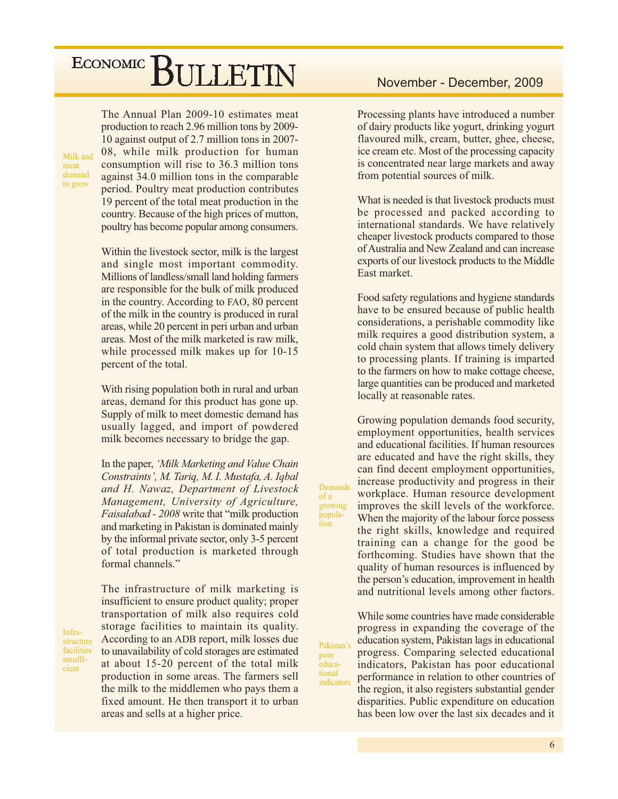The Annual Plan 2009-10 estimates meat production to reach 2.96 million tons by 2009-10 against output of 2.7 million tons in 2007-08, while milk production for human consumption will rise to 36.3 million tons against 34.0 million tons in the comparable period. Poultry meat production contributes 19 percent of the total meat production in the country. Because of the high prices of mutton, poultry has become popular among consumers.

Within the livestock sector, milk is the largest and single most important commodity. Millions of landless/small land holding farmers are responsible for the bulk of milk produced in the country. According to FAO, 80 percent of the milk in the country is produced in rural areas, while 20 percent in peri urban and urban areas. Most of the milk marketed is raw milk, while processed milk makes up for 10-15 percent of the total.

With rising population both in rural and urban areas, demand for this product has gone up. Supply of milk to meet domestic demand has usually lagged, and import of powdered milk becomes necessary to bridge the gap.

In the paper, 'Milk Marketing and Value Chain Constraints', M. Tariq, M. I. Mustafa, A. Iqbal and H. Nawaz, Department of Livestock Management, University of Agriculture, *Faisalabad - 2008* write that "milk production" and marketing in Pakistan is dominated mainly by the informal private sector, only 3-5 percent of total production is marketed through formal channels."

Infrastructure facilities insufficient

Milk and

to grow

meat demand

> The infrastructure of milk marketing is insufficient to ensure product quality; proper transportation of milk also requires cold storage facilities to maintain its quality. According to an ADB report, milk losses due to unavailability of cold storages are estimated at about 15-20 percent of the total milk production in some areas. The farmers sell the milk to the middlemen who pays them a fixed amount. He then transport it to urban areas and sells at a higher price.

### November - December, 2009

Processing plants have introduced a number of dairy products like yogurt, drinking yogurt flavoured milk, cream, butter, ghee, cheese, ice cream etc. Most of the processing capacity is concentrated near large markets and away from potential sources of milk.

What is needed is that livestock products must be processed and packed according to international standards. We have relatively cheaper livestock products compared to those of Australia and New Zealand and can increase exports of our livestock products to the Middle East market.

Food safety regulations and hygiene standards have to be ensured because of public health considerations, a perishable commodity like milk requires a good distribution system, a cold chain system that allows timely delivery to processing plants. If training is imparted to the farmers on how to make cottage cheese, large quantities can be produced and marketed locally at reasonable rates.

Growing population demands food security, employment opportunities, health services and educational facilities. If human resources are educated and have the right skills, they can find decent employment opportunities, increase productivity and progress in their workplace. Human resource development improves the skill levels of the workforce. When the majority of the labour force possess the right skills, knowledge and required training can a change for the good be forthcoming. Studies have shown that the quality of human resources is influenced by the person's education, improvement in health and nutritional levels among other factors.

Demands

growing

popula-

Pakistan's

poor

educa-

tional

indicators

 $of a$ 

tion

While some countries have made considerable progress in expanding the coverage of the education system, Pakistan lags in educational progress. Comparing selected educational indicators, Pakistan has poor educational performance in relation to other countries of the region, it also registers substantial gender disparities. Public expenditure on education has been low over the last six decades and it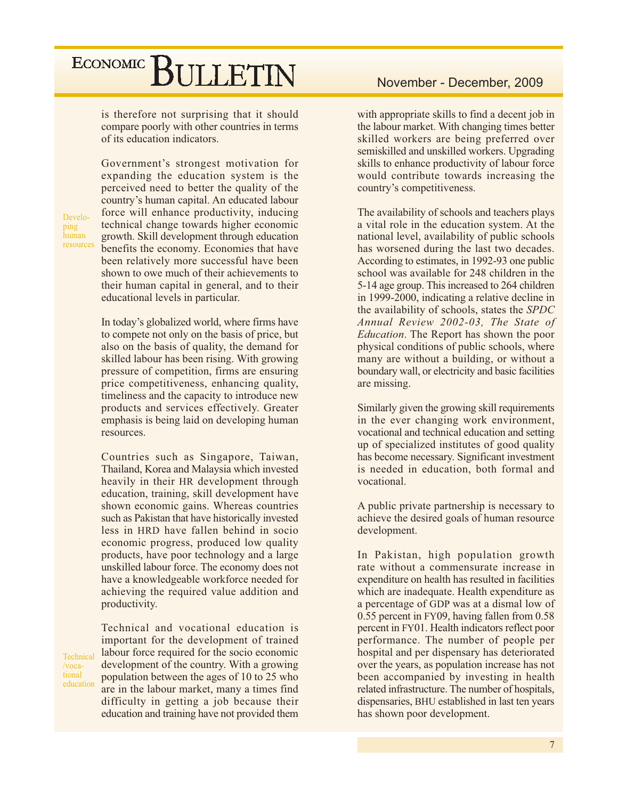is therefore not surprising that it should compare poorly with other countries in terms of its education indicators.

Government's strongest motivation for expanding the education system is the perceived need to better the quality of the country's human capital. An educated labour force will enhance productivity, inducing technical change towards higher economic growth. Skill development through education benefits the economy. Economies that have been relatively more successful have been shown to owe much of their achievements to their human capital in general, and to their educational levels in particular.

In today's globalized world, where firms have to compete not only on the basis of price, but also on the basis of quality, the demand for skilled labour has been rising. With growing pressure of competition, firms are ensuring price competitiveness, enhancing quality, timeliness and the capacity to introduce new products and services effectively. Greater emphasis is being laid on developing human resources.

Countries such as Singapore, Taiwan, Thailand, Korea and Malaysia which invested heavily in their HR development through education, training, skill development have shown economic gains. Whereas countries such as Pakistan that have historically invested less in HRD have fallen behind in socio economic progress, produced low quality products, have poor technology and a large unskilled labour force. The economy does not have a knowledgeable workforce needed for achieving the required value addition and productivity.

Technical and vocational education is important for the development of trained labour force required for the socio economic development of the country. With a growing population between the ages of 10 to 25 who are in the labour market, many a times find difficulty in getting a job because their education and training have not provided them

with appropriate skills to find a decent job in the labour market. With changing times better skilled workers are being preferred over semiskilled and unskilled workers. Upgrading skills to enhance productivity of labour force would contribute towards increasing the country's competitiveness.

The availability of schools and teachers plays a vital role in the education system. At the national level, availability of public schools has worsened during the last two decades. According to estimates, in 1992-93 one public school was available for 248 children in the 5-14 age group. This increased to 264 children in 1999-2000, indicating a relative decline in the availability of schools, states the SPDC Annual Review 2002-03, The State of *Education*. The Report has shown the poor physical conditions of public schools, where many are without a building, or without a boundary wall, or electricity and basic facilities are missing.

Similarly given the growing skill requirements in the ever changing work environment, vocational and technical education and setting up of specialized institutes of good quality has become necessary. Significant investment is needed in education, both formal and vocational.

A public private partnership is necessary to achieve the desired goals of human resource development.

In Pakistan, high population growth rate without a commensurate increase in expenditure on health has resulted in facilities which are inadequate. Health expenditure as a percentage of GDP was at a dismal low of 0.55 percent in FY09, having fallen from 0.58 percent in FY01. Health indicators reflect poor performance. The number of people per hospital and per dispensary has deteriorated over the years, as population increase has not been accompanied by investing in health related infrastructure. The number of hospitals. dispensaries, BHU established in last ten years has shown poor development.

Developing human resources

Technical

education

/vocational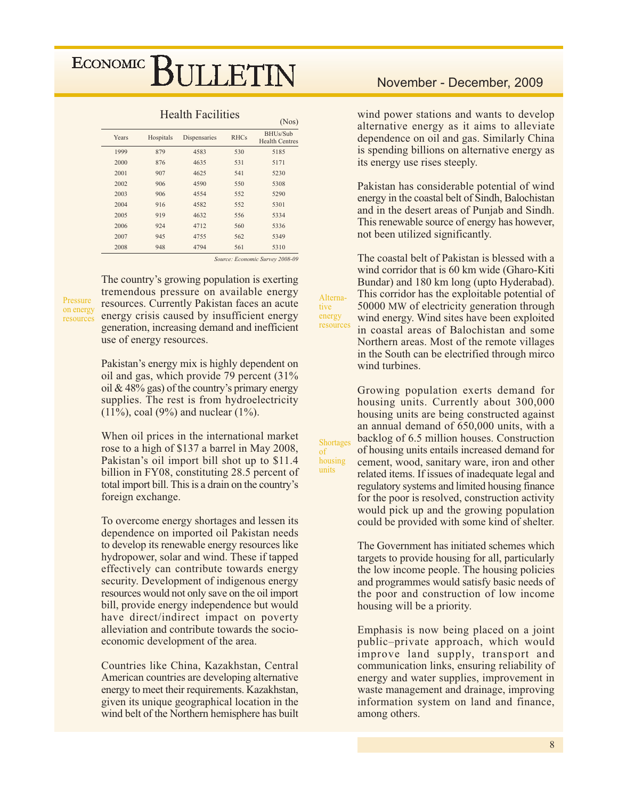|       |           |              |             | (1105)                            |
|-------|-----------|--------------|-------------|-----------------------------------|
| Years | Hospitals | Dispensaries | <b>RHCs</b> | BHUs/Sub<br><b>Health Centres</b> |
| 1999  | 879       | 4583         | 530         | 5185                              |
| 2000  | 876       | 4635         | 531         | 5171                              |
| 2001  | 907       | 4625         | 541         | 5230                              |
| 2002  | 906       | 4590         | 550         | 5308                              |
| 2003  | 906       | 4554         | 552         | 5290                              |
| 2004  | 916       | 4582         | 552         | 5301                              |
| 2005  | 919       | 4632         | 556         | 5334                              |
| 2006  | 924       | 4712         | 560         | 5336                              |
| 2007  | 945       | 4755         | 562         | 5349                              |
| 2008  | 948       | 4794         | 561         | 5310                              |

#### **Health Facilities**

Source: Economic Survey 2008-09

 $(2.5 - 1)$ 

Pressure on energy resources The country's growing population is exerting tremendous pressure on available energy resources. Currently Pakistan faces an acute energy crisis caused by insufficient energy generation, increasing demand and inefficient use of energy resources.

Pakistan's energy mix is highly dependent on oil and gas, which provide 79 percent (31%) oil &  $48\%$  gas) of the country's primary energy supplies. The rest is from hydroelectricity  $(11\%)$ , coal (9%) and nuclear (1%).

When oil prices in the international market rose to a high of \$137 a barrel in May 2008, Pakistan's oil import bill shot up to \$11.4 billion in FY08, constituting 28.5 percent of total import bill. This is a drain on the country's foreign exchange.

To overcome energy shortages and lessen its dependence on imported oil Pakistan needs to develop its renewable energy resources like hydropower, solar and wind. These if tapped effectively can contribute towards energy security. Development of indigenous energy resources would not only save on the oil import bill, provide energy independence but would have direct/indirect impact on poverty alleviation and contribute towards the socioeconomic development of the area.

Countries like China, Kazakhstan, Central American countries are developing alternative energy to meet their requirements. Kazakhstan, given its unique geographical location in the wind belt of the Northern hemisphere has built

### November - December, 2009

wind power stations and wants to develop alternative energy as it aims to alleviate dependence on oil and gas. Similarly China is spending billions on alternative energy as its energy use rises steeply.

Pakistan has considerable potential of wind energy in the coastal belt of Sindh, Balochistan and in the desert areas of Punjab and Sindh. This renewable source of energy has however, not been utilized significantly.

The coastal belt of Pakistan is blessed with a wind corridor that is 60 km wide (Gharo-Kiti Bundar) and 180 km long (upto Hyderabad). This corridor has the exploitable potential of 50000 MW of electricity generation through wind energy. Wind sites have been exploited in coastal areas of Balochistan and some Northern areas. Most of the remote villages in the South can be electrified through mirco wind turbines.

Growing population exerts demand for housing units. Currently about 300,000 housing units are being constructed against an annual demand of 650,000 units, with a backlog of 6.5 million houses. Construction of housing units entails increased demand for cement, wood, sanitary ware, iron and other related items. If issues of inadequate legal and regulatory systems and limited housing finance for the poor is resolved, construction activity would pick up and the growing population could be provided with some kind of shelter.

The Government has initiated schemes which targets to provide housing for all, particularly the low income people. The housing policies and programmes would satisfy basic needs of the poor and construction of low income housing will be a priority.

Emphasis is now being placed on a joint public-private approach, which would improve land supply, transport and communication links, ensuring reliability of energy and water supplies, improvement in waste management and drainage, improving information system on land and finance, among others.

Shortages of housing units

Alterna-

tive

energy

resources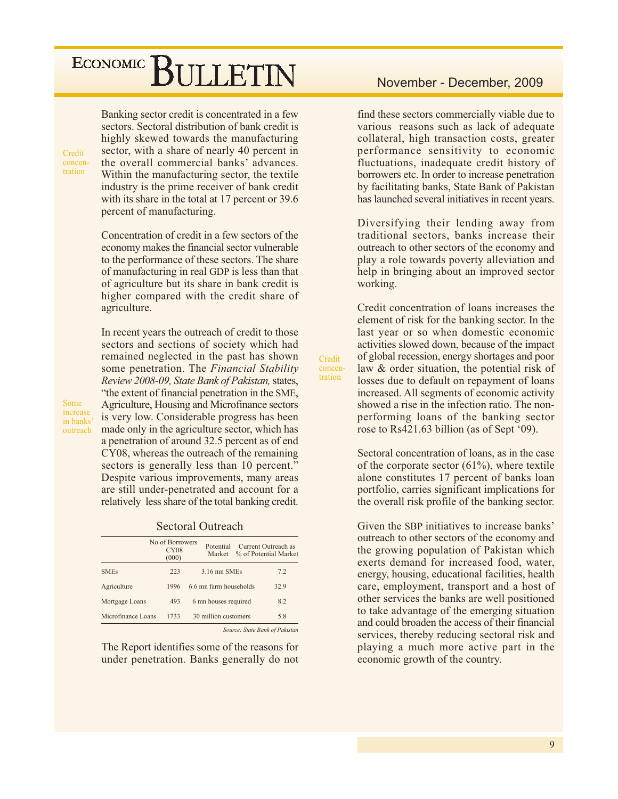Banking sector credit is concentrated in a few sectors. Sectoral distribution of bank credit is highly skewed towards the manufacturing sector, with a share of nearly 40 percent in the overall commercial banks' advances. Within the manufacturing sector, the textile industry is the prime receiver of bank credit with its share in the total at 17 percent or 39.6 percent of manufacturing.

Concentration of credit in a few sectors of the economy makes the financial sector vulnerable to the performance of these sectors. The share of manufacturing in real GDP is less than that of agriculture but its share in bank credit is higher compared with the credit share of agriculture.

In recent years the outreach of credit to those sectors and sections of society which had remained neglected in the past has shown some penetration. The Financial Stability Review 2008-09, State Bank of Pakistan, states, "the extent of financial penetration in the SME, Agriculture, Housing and Microfinance sectors is very low. Considerable progress has been made only in the agriculture sector, which has a penetration of around 32.5 percent as of end CY08, whereas the outreach of the remaining sectors is generally less than 10 percent." Despite various improvements, many areas are still under-penetrated and account for a relatively less share of the total banking credit.

**Sectoral Outreach** 

|                    | No of Borrowers<br>CY08<br>(000) | Potential              | Current Outreach as<br>Market % of Potential Market |
|--------------------|----------------------------------|------------------------|-----------------------------------------------------|
| <b>SMEs</b>        | 223                              | 3.16 mn SMEs           | 7.2                                                 |
| Agriculture        | 1996                             | 6.6 mn farm households | 32.9                                                |
| Mortgage Loans     | 493                              | 6 mn houses required   | 8.2                                                 |
| Microfinance Loans | 1733                             | 30 million customers   | 5.8                                                 |
|                    |                                  |                        | Source: State Rank of Pakistan                      |

The Report identifies some of the reasons for under penetration. Banks generally do not

### November - December, 2009

find these sectors commercially viable due to various reasons such as lack of adequate collateral, high transaction costs, greater performance sensitivity to economic fluctuations, inadequate credit history of borrowers etc. In order to increase penetration by facilitating banks, State Bank of Pakistan has launched several initiatives in recent years.

Diversifying their lending away from traditional sectors, banks increase their outreach to other sectors of the economy and play a role towards poverty alleviation and help in bringing about an improved sector working.

Credit concentration of loans increases the element of risk for the banking sector. In the last year or so when domestic economic activities slowed down, because of the impact of global recession, energy shortages and poor law & order situation, the potential risk of losses due to default on repayment of loans increased. All segments of economic activity showed a rise in the infection ratio. The nonperforming loans of the banking sector rose to Rs421.63 billion (as of Sept '09).

Credit

concen-

tration

Sectoral concentration of loans, as in the case of the corporate sector  $(61\%)$ , where textile alone constitutes 17 percent of banks loan portfolio, carries significant implications for the overall risk profile of the banking sector.

Given the SBP initiatives to increase banks' outreach to other sectors of the economy and the growing population of Pakistan which exerts demand for increased food, water, energy, housing, educational facilities, health care, employment, transport and a host of other services the banks are well positioned to take advantage of the emerging situation and could broaden the access of their financial services, thereby reducing sectoral risk and playing a much more active part in the economic growth of the country.

Credit

concentration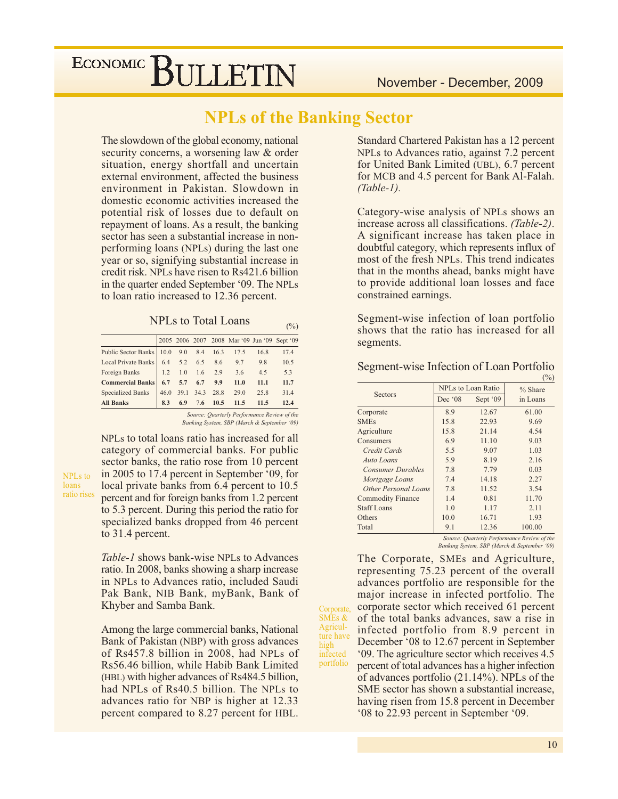### **NPLs of the Banking Sector**

 $(%)$ 

Corporate,  $SMEs &$ 

Agricul-

ture have

infected

portfolio

high

The slowdown of the global economy, national security concerns, a worsening law & order situation, energy shortfall and uncertain external environment, affected the business environment in Pakistan. Slowdown in domestic economic activities increased the potential risk of losses due to default on repayment of loans. As a result, the banking sector has seen a substantial increase in nonperforming loans (NPLs) during the last one year or so, signifying substantial increase in credit risk. NPLs have risen to Rs421.6 billion in the quarter ended September '09. The NPLs to loan ratio increased to 12.36 percent.

| NPLs to Total Loans |  |
|---------------------|--|
|---------------------|--|

|                                              |  |  | 2005 2006 2007 2008 Mar '09 Jun '09 Sept '09 |      |      |
|----------------------------------------------|--|--|----------------------------------------------|------|------|
| Public Sector Banks   10.0 9.0 8.4 16.3 17.5 |  |  |                                              | 16.8 | 17.4 |
| Local Private Banks 6.4 5.2 6.5 8.6 9.7 9.8  |  |  |                                              |      | 10.5 |
| Foreign Banks 1.2 1.0 1.6 2.9 3.6            |  |  |                                              | 4.5  | 5.3  |
| <b>Commercial Banks</b> 6.7 5.7 6.7 9.9      |  |  | 11.0                                         | 11.1 | 11.7 |
| Specialized Banks                            |  |  | $ 46.0 \t39.1 \t34.3 \t28.8 \t29.0$          | 25.8 | 31.4 |
| <b>All Banks</b>                             |  |  | 8.3 6.9 7.6 10.5 11.5                        | 11.5 | 12.4 |
|                                              |  |  | Source: Quarterly Performance Review of the  |      |      |

NPLs to total loans ratio has increased for all

Banking System, SBP (March & September '09)

category of commercial banks. For public sector banks, the ratio rose from 10 percent in 2005 to 17.4 percent in September '09, for NPLs to local private banks from 6.4 percent to 10.5 ratio rises percent and for foreign banks from 1.2 percent to 5.3 percent. During this period the ratio for specialized banks dropped from 46 percent to 31.4 percent.

loans

Table-1 shows bank-wise NPLs to Advances ratio. In 2008, banks showing a sharp increase in NPLs to Advances ratio, included Saudi Pak Bank, NIB Bank, myBank, Bank of Khyber and Samba Bank.

Among the large commercial banks, National Bank of Pakistan (NBP) with gross advances of Rs457.8 billion in 2008, had NPLs of Rs56.46 billion, while Habib Bank Limited (HBL) with higher advances of Rs484.5 billion, had NPLs of Rs40.5 billion. The NPLs to advances ratio for NBP is higher at 12.33 percent compared to 8.27 percent for HBL.

Standard Chartered Pakistan has a 12 percent NPLs to Advances ratio, against 7.2 percent for United Bank Limited (UBL), 6.7 percent for MCB and 4.5 percent for Bank Al-Falah.  $(Table-1).$ 

Category-wise analysis of NPLs shows an increase across all classifications. (Table-2). A significant increase has taken place in doubtful category, which represents influx of most of the fresh NPLs. This trend indicates that in the months ahead, banks might have to provide additional loan losses and face constrained earnings.

Segment-wise infection of loan portfolio shows that the ratio has increased for all segments.

| Segment-wise Infection of Loan Portfolio |  |  |
|------------------------------------------|--|--|
|                                          |  |  |

|                          |                  |                    | $\sqrt{9}$ |
|--------------------------|------------------|--------------------|------------|
| <b>Sectors</b>           |                  | NPLs to Loan Ratio | $%$ Share  |
|                          | Dec $^{\circ}08$ | Sept '09           | in Loans   |
| Corporate                | 8.9              | 12.67              | 61.00      |
| <b>SMEs</b>              | 15.8             | 22.93              | 9.69       |
| Agriculture              | 15.8             | 21.14              | 4.54       |
| Consumers                | 6.9              | 11.10              | 9.03       |
| Credit Cards             | 5.5              | 9.07               | 1.03       |
| Auto Loans               | 5.9              | 8.19               | 2.16       |
| <b>Consumer Durables</b> | 7.8              | 7.79               | 0.03       |
| Mortgage Loans           | 7.4              | 14.18              | 2.27       |
| Other Personal Loans     | 7.8              | 11.52              | 3.54       |
| <b>Commodity Finance</b> | 1.4              | 0.81               | 11.70      |
| <b>Staff Loans</b>       | 1.0              | 1.17               | 2.11       |
| Others                   | 10.0             | 16.71              | 1.93       |
| Total                    | 9.1              | 12.36              | 100.00     |

Source: Quarterly Performance Review of the Banking System, SBP (March & September '09)

The Corporate, SMEs and Agriculture, representing 75.23 percent of the overall advances portfolio are responsible for the major increase in infected portfolio. The corporate sector which received 61 percent of the total banks advances, saw a rise in infected portfolio from 8.9 percent in December '08 to 12.67 percent in September '09. The agriculture sector which receives 4.5 percent of total advances has a higher infection of advances portfolio (21.14%). NPLs of the SME sector has shown a substantial increase. having risen from 15.8 percent in December '08 to 22.93 percent in September '09.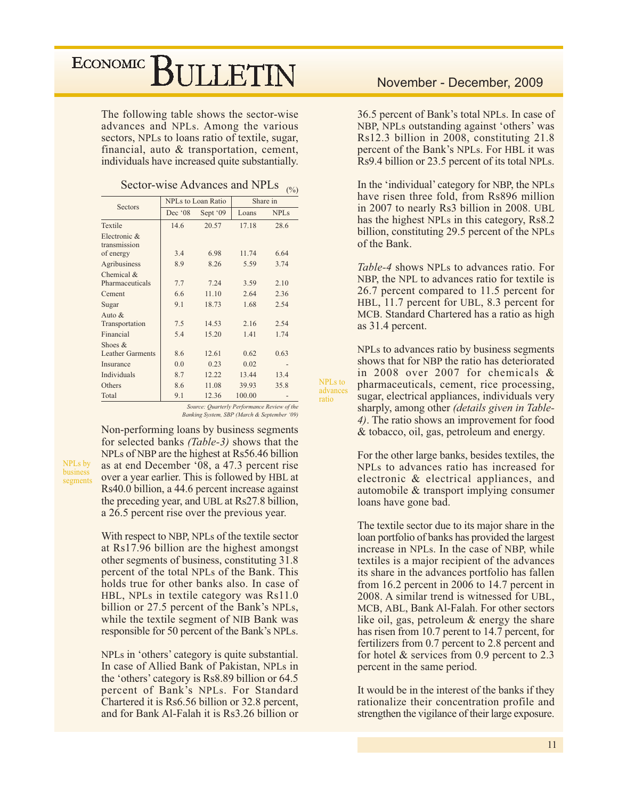## ECONOMIC<sup>]</sup> **SULLETIN**

The following table shows the sector-wise advances and NPLs. Among the various sectors, NPLs to loans ratio of textile, sugar, financial, auto & transportation, cement, individuals have increased quite substantially.

Sector-wise Advances and NPLs  $_{(%)}$ 

| Sectors                              |         | <b>NPLs</b> to Loan Ratio |        | Share in    |
|--------------------------------------|---------|---------------------------|--------|-------------|
|                                      | Dec '08 | Sept '09                  | Loans  | <b>NPLs</b> |
| Textile                              | 14.6    | 20.57                     | 17.18  | 28.6        |
| Electronic &<br>transmission         |         |                           |        |             |
| of energy                            | 3.4     | 6.98                      | 11.74  | 6.64        |
| Agribusiness                         | 8.9     | 8.26                      | 5.59   | 3.74        |
| Chemical $&$<br>Pharmaceuticals      | 7.7     | 7.24                      | 3.59   | 2.10        |
| Cement                               | 6.6     | 11.10                     | 2.64   | 2.36        |
| Sugar                                | 9.1     | 18.73                     | 1.68   | 2.54        |
| Auto &<br>Transportation             | 7.5     | 14.53                     | 2.16   | 2.54        |
| Financial                            | 5.4     | 15.20                     | 1.41   | 1.74        |
| Shoes $&$<br><b>Leather Garments</b> | 8.6     | 12.61                     | 0.62   | 0.63        |
| Insurance                            | 0.0     | 0.23                      | 0.02   |             |
| Individuals                          | 8.7     | 12.22                     | 13.44  | 13.4        |
| Others                               | 8.6     | 11.08                     | 39.93  | 35.8        |
| Total                                | 9.1     | 12.36                     | 100.00 |             |

Source: Quarterly Performance Review of the Banking System, SBP (March & September '09) NPLs to

advances

ratio

NPLs by business segments Non-performing loans by business segments for selected banks *(Table-3)* shows that the NPLs of NBP are the highest at Rs56.46 billion as at end December '08, a 47.3 percent rise over a year earlier. This is followed by HBL at Rs40.0 billion, a 44.6 percent increase against the preceding year, and UBL at Rs27.8 billion, a 26.5 percent rise over the previous year.

With respect to NBP, NPLs of the textile sector at Rs17.96 billion are the highest amongst other segments of business, constituting 31.8 percent of the total NPLs of the Bank. This holds true for other banks also. In case of HBL, NPLs in textile category was Rs11.0 billion or 27.5 percent of the Bank's NPLs, while the textile segment of NIB Bank was responsible for 50 percent of the Bank's NPLs.

NPLs in 'others' category is quite substantial. In case of Allied Bank of Pakistan, NPLs in the 'others' category is Rs8.89 billion or 64.5 percent of Bank's NPLs. For Standard Chartered it is Rs6.56 billion or 32.8 percent, and for Bank Al-Falah it is Rs3.26 billion or

36.5 percent of Bank's total NPLs. In case of NBP, NPLs outstanding against 'others' was Rs12.3 billion in 2008, constituting 21.8 percent of the Bank's NPLs. For HBL it was Rs9.4 billion or 23.5 percent of its total NPLs.

In the 'individual' category for NBP, the NPLs have risen three fold, from Rs896 million in 2007 to nearly Rs3 billion in 2008. UBL has the highest NPLs in this category, Rs8.2 billion, constituting 29.5 percent of the NPLs of the Bank.

*Table-4* shows NPLs to advances ratio. For NBP, the NPL to advances ratio for textile is 26.7 percent compared to 11.5 percent for HBL, 11.7 percent for UBL, 8.3 percent for MCB. Standard Chartered has a ratio as high as 31.4 percent.

NPLs to advances ratio by business segments shows that for NBP the ratio has deteriorated in 2008 over 2007 for chemicals & pharmaceuticals, cement, rice processing, sugar, electrical appliances, individuals very sharply, among other *(details given in Table-*4). The ratio shows an improvement for food & tobacco, oil, gas, petroleum and energy.

For the other large banks, besides textiles, the NPLs to advances ratio has increased for electronic & electrical appliances, and automobile & transport implying consumer loans have gone bad.

The textile sector due to its major share in the loan portfolio of banks has provided the largest increase in NPLs. In the case of NBP, while textiles is a major recipient of the advances its share in the advances portfolio has fallen from 16.2 percent in 2006 to 14.7 percent in 2008. A similar trend is witnessed for UBL. MCB, ABL, Bank Al-Falah. For other sectors like oil, gas, petroleum & energy the share has risen from 10.7 perent to 14.7 percent, for fertilizers from 0.7 percent to 2.8 percent and for hotel  $&$  services from 0.9 percent to 2.3 percent in the same period.

It would be in the interest of the banks if they rationalize their concentration profile and strengthen the vigilance of their large exposure.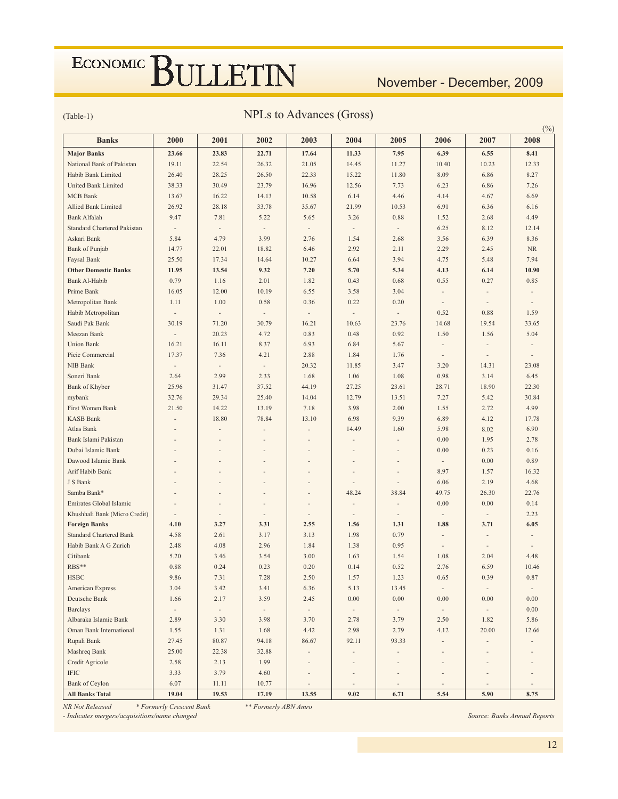## November - December, 2009

 $\sim$ 

### $(Table-1)$

### NPLs to Advances (Gross)

| <b>Banks</b>                       | 2000                             | 2001                     | 2002                     | 2003                     | 2004                     | 2005                     | 2006                         | 2007                     | (70)<br>2008             |
|------------------------------------|----------------------------------|--------------------------|--------------------------|--------------------------|--------------------------|--------------------------|------------------------------|--------------------------|--------------------------|
| <b>Major Banks</b>                 | 23.66                            | 23.83                    | 22.71                    | 17.64                    | 11.33                    | 7.95                     | 6.39                         | 6.55                     | 8.41                     |
| National Bank of Pakistan          | 19.11                            | 22.54                    | 26.32                    | 21.05                    | 14.45                    | 11.27                    | 10.40                        | 10.23                    | 12.33                    |
| Habib Bank Limited                 | 26.40                            | 28.25                    | 26.50                    | 22.33                    | 15.22                    | 11.80                    | 8.09                         | 6.86                     | 8.27                     |
| <b>United Bank Limited</b>         | 38.33                            | 30.49                    | 23.79                    | 16.96                    | 12.56                    | 7.73                     | 6.23                         | 6.86                     | 7.26                     |
| <b>MCB</b> Bank                    | 13.67                            | 16.22                    | 14.13                    | 10.58                    | 6.14                     | 4.46                     | 4.14                         | 4.67                     | 6.69                     |
| <b>Allied Bank Limited</b>         | 26.92                            | 28.18                    | 33.78                    | 35.67                    | 21.99                    | 10.53                    | 6.91                         | 6.36                     | 6.16                     |
| <b>Bank Alfalah</b>                | 9.47                             | 7.81                     | 5.22                     | 5.65                     | 3.26                     | 0.88                     | 1.52                         | 2.68                     | 4.49                     |
| <b>Standard Chartered Pakistan</b> | $\overline{\phantom{a}}$         | $\overline{\phantom{a}}$ | $\overline{\phantom{a}}$ | $\overline{\phantom{a}}$ | $\frac{1}{2}$            | $\overline{\phantom{a}}$ | 6.25                         | 8.12                     | 12.14                    |
| Askari Bank                        | 5.84                             | 4.79                     | 3.99                     | 2.76                     | 1.54                     | 2.68                     | 3.56                         | 6.39                     | 8.36                     |
| <b>Bank</b> of Punjab              | 14.77                            | 22.01                    | 18.82                    | 6.46                     | 2.92                     | 2.11                     | 2.29                         | 2.45                     | NR                       |
| Faysal Bank                        | 25.50                            | 17.34                    | 14.64                    | 10.27                    | 6.64                     | 3.94                     | 4.75                         | 5.48                     | 7.94                     |
| <b>Other Domestic Banks</b>        | 11.95                            | 13.54                    | 9.32                     | 7.20                     | 5.70                     | 5.34                     | 4.13                         | 6.14                     | 10.90                    |
| <b>Bank Al-Habib</b>               | 0.79                             | 1.16                     | 2.01                     | 1.82                     | 0.43                     | 0.68                     | 0.55                         | 0.27                     | 0.85                     |
| Prime Bank                         | 16.05                            | 12.00                    | 10.19                    | 6.55                     | 3.58                     | 3.04                     | $\overline{\phantom{a}}$     |                          |                          |
| Metropolitan Bank                  | 1.11                             | 1.00                     | 0.58                     | 0.36                     | 0.22                     | 0.20                     | ÷,                           |                          | $\overline{\phantom{a}}$ |
| Habib Metropolitan                 | $\frac{1}{2}$                    | $\overline{\phantom{a}}$ |                          | $\overline{\phantom{a}}$ | $\frac{1}{2}$            | $\overline{\phantom{a}}$ | 0.52                         | 0.88                     | 1.59                     |
| Saudi Pak Bank                     | 30.19                            | 71.20                    | 30.79                    | 16.21                    | 10.63                    | 23.76                    | 14.68                        | 19.54                    | 33.65                    |
| Meezan Bank                        | $\frac{1}{2}$                    | 20.23                    | 4.72                     | 0.83                     | 0.48                     | 0.92                     | 1.50                         | 1.56                     | 5.04                     |
| <b>Union Bank</b>                  | 16.21                            | 16.11                    | 8.37                     | 6.93                     | 6.84                     | 5.67                     | ÷                            |                          |                          |
| Picic Commercial                   | 17.37                            | 7.36                     | 4.21                     | 2.88                     | 1.84                     | 1.76                     | ÷,                           | ÷,                       |                          |
| <b>NIB Bank</b>                    |                                  | $\overline{\phantom{a}}$ | $\overline{\phantom{m}}$ | 20.32                    | 11.85                    | 3.47                     | 3.20                         | 14.31                    | 23.08                    |
| Soneri Bank                        | $\overline{\phantom{a}}$<br>2.64 | 2.99                     | 2.33                     | 1.68                     | 1.06                     |                          | 0.98                         | 3.14                     | 6.45                     |
|                                    |                                  |                          |                          |                          |                          | 1.08                     |                              |                          |                          |
| Bank of Khyber                     | 25.96                            | 31.47                    | 37.52                    | 44.19                    | 27.25                    | 23.61                    | 28.71                        | 18.90                    | 22.30                    |
| mybank                             | 32.76                            | 29.34                    | 25.40                    | 14.04                    | 12.79                    | 13.51                    | 7.27                         | 5.42                     | 30.84                    |
| First Women Bank                   | 21.50                            | 14.22                    | 13.19                    | 7.18                     | 3.98                     | 2.00                     | 1.55                         | 2.72                     | 4.99                     |
| <b>KASB Bank</b>                   |                                  | 18.80                    | 78.84                    | 13.10                    | 6.98                     | 9.39                     | 6.89                         | 4.12                     | 17.78                    |
| Atlas Bank                         |                                  |                          |                          |                          | 14.49                    | 1.60                     | 5.98                         | 8.02                     | 6.90                     |
| Bank Islami Pakistan               |                                  |                          | $\overline{\phantom{a}}$ | $\overline{a}$           |                          |                          | 0.00                         | 1.95                     | 2.78                     |
| Dubai Islamic Bank                 |                                  |                          |                          |                          |                          |                          | 0.00                         | 0.23                     | 0.16                     |
| Dawood Islamic Bank                |                                  |                          |                          |                          |                          |                          | $\overline{\phantom{a}}$     | 0.00                     | 0.89                     |
| Arif Habib Bank                    |                                  |                          |                          |                          |                          |                          | 8.97                         | 1.57                     | 16.32                    |
| J S Bank                           |                                  |                          |                          |                          |                          |                          | 6.06                         | 2.19                     | 4.68                     |
| Samba Bank*                        |                                  |                          |                          |                          | 48.24                    | 38.84                    | 49.75                        | 26.30                    | 22.76                    |
| Emirates Global Islamic            |                                  |                          |                          |                          |                          |                          | 0.00                         | 0.00                     | 0.14                     |
| Khushhali Bank (Micro Credit)      | $\overline{\phantom{a}}$         | $\frac{1}{2}$            | $\overline{a}$           | $\overline{a}$           | $\overline{\phantom{m}}$ | ÷                        | $\overline{\phantom{a}}$     | ÷,                       | 2.23                     |
| <b>Foreign Banks</b>               | 4.10                             | 3.27                     | 3.31                     | 2.55                     | 1.56                     | 1.31                     | 1.88                         | 3.71                     | 6.05                     |
| <b>Standard Chartered Bank</b>     | 4.58                             | 2.61                     | 3.17                     | 3.13                     | 1.98                     | 0.79                     |                              |                          |                          |
| Habib Bank A G Zurich              | 2.48                             | 4.08                     | 2.96                     | 1.84                     | 1.38                     | 0.95                     |                              |                          |                          |
| Citibank                           | 5.20                             | 3.46                     | 3.54                     | 3.00                     | 1.63                     | 1.54                     | 1.08                         | 2.04                     | 4.48                     |
| RBS**                              | 0.88                             | 0.24                     | 0.23                     | 0.20                     | 0.14                     | 0.52                     | 2.76                         | 6.59                     | 10.46                    |
| <b>HSBC</b>                        | 9.86                             | 7.31                     | 7.28                     | 2.50                     | 1.57                     | 1.23                     | 0.65                         | 0.39                     | 0.87                     |
| American Express<br>Deutsche Bank  | 3.04                             | 3.42                     | 3.41                     | 6.36                     | 5.13                     | 13.45                    | $\overline{\phantom{a}}$     | $\overline{\phantom{a}}$ | $\overline{\phantom{a}}$ |
|                                    | 1.66                             | 2.17                     | 3.59                     | 2.45                     | $0.00\,$                 | 0.00                     | 0.00                         | 0.00                     | 0.00                     |
| <b>Barclays</b>                    | $\overline{\phantom{a}}$         | $\overline{\phantom{a}}$ | $\overline{\phantom{a}}$ | $\sim$                   | $\blacksquare$           | $\sim$                   | $\sim$                       | $\overline{\phantom{a}}$ | 0.00                     |
| Albaraka Islamic Bank              | 2.89                             | 3.30                     | 3.98                     | 3.70                     | 2.78                     | 3.79                     | 2.50                         | 1.82                     | 5.86                     |
| Oman Bank International            | 1.55                             | 1.31                     | 1.68                     | 4.42                     | 2.98                     | 2.79                     | 4.12                         | 20.00                    | 12.66                    |
| Rupali Bank                        | 27.45                            | 80.87                    | 94.18                    | 86.67                    | 92.11                    | 93.33                    | $\overline{\phantom{a}}$     |                          |                          |
| Mashreq Bank                       | 25.00                            | 22.38                    | 32.88                    | $\overline{\phantom{a}}$ |                          |                          | $\qquad \qquad \blacksquare$ |                          |                          |
| Credit Agricole                    | 2.58                             | 2.13                     | 1.99                     | $\overline{a}$           |                          |                          |                              |                          |                          |
| <b>IFIC</b>                        | 3.33                             | 3.79                     | 4.60                     | $\overline{\phantom{a}}$ |                          |                          |                              |                          |                          |
| <b>Bank of Ceylon</b>              | 6.07                             | 11.11                    | 10.77                    | $\overline{\phantom{a}}$ | $\overline{\phantom{m}}$ |                          | ÷,                           | ÷,                       |                          |
| <b>All Banks Total</b>             | 19.04                            | 19.53                    | 17.19                    | 13.55                    | 9.02                     | 6.71                     | 5.54                         | 5.90                     | 8.75                     |

NR Not Released \* Formerly Crescent Bank \*\* Formerly ABN Amro

Source: Banks Annual Reports

- Indicates mergers/acquisitions/name changed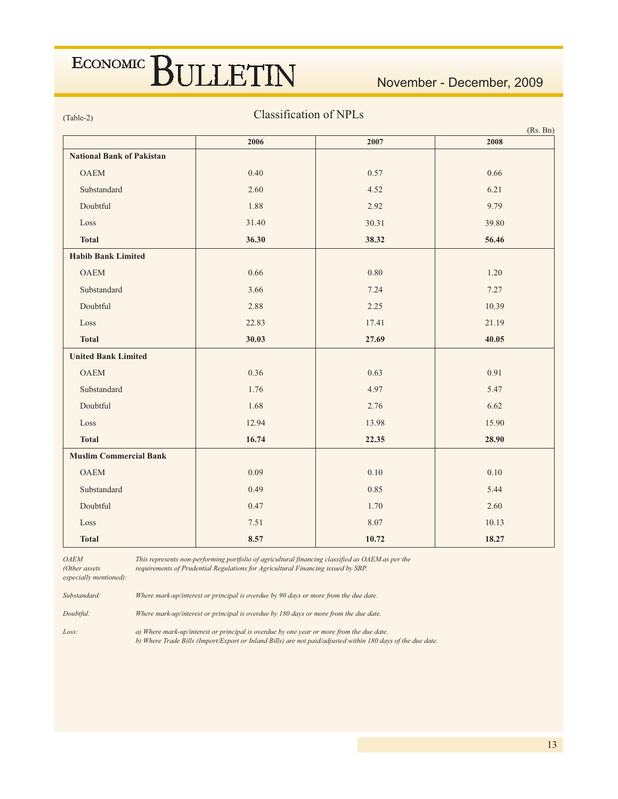November - December, 2009

 $(Table-2)$ 

### **Classification of NPLs**

|                                  |       |       | (Rs. Bn) |
|----------------------------------|-------|-------|----------|
|                                  | 2006  | 2007  | 2008     |
| <b>National Bank of Pakistan</b> |       |       |          |
| <b>OAEM</b>                      | 0.40  | 0.57  | 0.66     |
| Substandard                      | 2.60  | 4.52  | 6.21     |
| Doubtful                         | 1.88  | 2.92  | 9.79     |
| Loss                             | 31.40 | 30.31 | 39.80    |
| <b>Total</b>                     | 36.30 | 38.32 | 56.46    |
| <b>Habib Bank Limited</b>        |       |       |          |
| <b>OAEM</b>                      | 0.66  | 0.80  | 1.20     |
| Substandard                      | 3.66  | 7.24  | 7.27     |
| Doubtful                         | 2.88  | 2.25  | 10.39    |
| Loss                             | 22.83 | 17.41 | 21.19    |
| <b>Total</b>                     | 30.03 | 27.69 | 40.05    |
| <b>United Bank Limited</b>       |       |       |          |
| <b>OAEM</b>                      | 0.36  | 0.63  | 0.91     |
| Substandard                      | 1.76  | 4.97  | 5.47     |
| Doubtful                         | 1.68  | 2.76  | 6.62     |
| Loss                             | 12.94 | 13.98 | 15.90    |
| <b>Total</b>                     | 16.74 | 22.35 | 28.90    |
| <b>Muslim Commercial Bank</b>    |       |       |          |
| <b>OAEM</b>                      | 0.09  | 0.10  | 0.10     |
| Substandard                      | 0.49  | 0.85  | 5.44     |
| Doubtful                         | 0.47  | 1.70  | 2.60     |
| Loss                             | 7.51  | 8.07  | 10.13    |
| <b>Total</b>                     | 8.57  | 10.72 | 18.27    |

 $OAEM$ 

This represents non-performing portfolio of agricultural financing classified as OAEM as per the requirements of Prudential Regulations for Agricultural Financing issued by SBP.

(Other assets especially mentioned):

Substandard: Where mark-up/interest or principal is overdue by 90 days or more from the due date.

Doubtful: Where mark-up/interest or principal is overdue by 180 days or more from the due date.

Loss:

a) Where mark-up/interest or principal is overdue by one year or more from the due date. b) Where Trade Bills (Import/Export or Inland Bills) are not paid/adjusted within 180 days of the due date.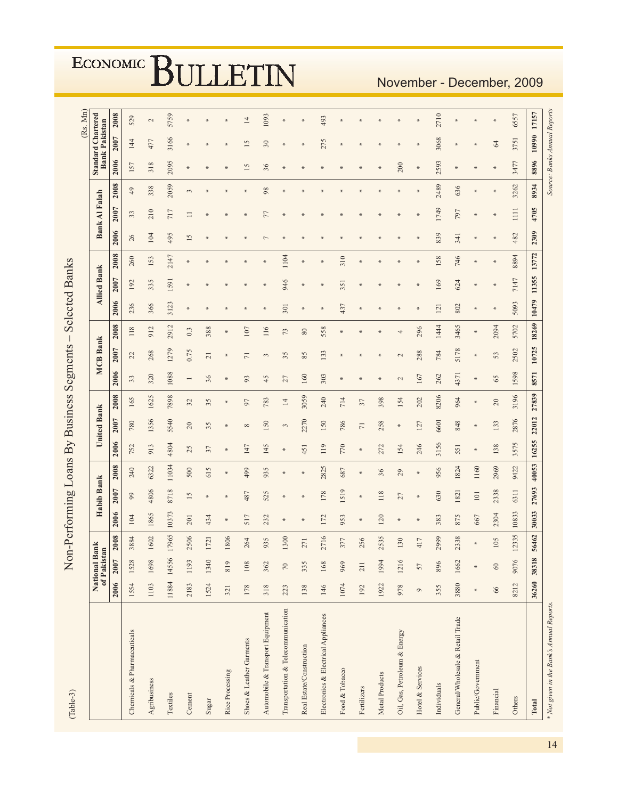| (Table-3)                                 |         |                              | Non-Performing Loans By Business Segments - |        |                 |       |        |                    |                |      |                 |            |       | <b>Selected Banks</b> |       |      |                      |         |                              |                      | (Rs. Mn)        |
|-------------------------------------------|---------|------------------------------|---------------------------------------------|--------|-----------------|-------|--------|--------------------|----------------|------|-----------------|------------|-------|-----------------------|-------|------|----------------------|---------|------------------------------|----------------------|-----------------|
|                                           |         | National Bank<br>of Pakistan |                                             |        | Habib Bank      |       |        | <b>United Bank</b> |                |      | <b>MCB Bank</b> |            |       | <b>Allied Bank</b>    |       |      | <b>Bank Al Falah</b> |         | <b>Standard Chartered</b>    | <b>Bank Pakistan</b> |                 |
|                                           |         | 2006 2007                    | 2008                                        | 2006   | <b>2007</b>     | 2008  | 2006   | <b>2007</b>        | 2008           | 2006 | <b>2007</b>     | 2008       | 2006  | <b>2007</b>           | 2008  | 2006 | <b>2007</b>          | 2008    | 2006                         | <b>2007</b>          | 2008            |
| Chemicals & Pharmaceuticals               | 1554    | 1528                         | 3884                                        | 104    | 99              | 240   | 752    | 780                | 165            | 33   | $\Omega$        | 118        | 236   | 192                   | 260   | 26   | 33                   | $^{49}$ | 157                          | 144                  | 529             |
| Agribusiness                              | 1103    | 1698                         | 1602                                        | 1865   | 4806            | 6322  | 913    | 1356               | 1625           | 320  | 268             | 912        | 366   | 335                   | 153   | 104  | 210                  | 338     | 318                          | 477                  | $\sim$          |
| Textiles                                  | 11884   | 14556                        | 17965                                       | 10373  | 8718            | 11034 | 4804   | 5540               | 7898           | 1088 | 1279            | 2912       | 3123  | 1591                  | 2147  | 495  | 717                  | 2059    | 2095                         | 3166                 | 5759            |
| $\label{eq:1} \textbf{Cement}$            | 2183    | 1193                         | 2506                                        | 201    | $\overline{15}$ | 500   | 25     | 20                 | 32             |      | 0.75            | 0.3        |       | $\frac{1}{20}$        |       | 15   | $\equiv$             | 3       |                              | $*$                  |                 |
| Sugar                                     | 1524    | 1340                         | 1721                                        | 434    | *               | 615   | 37     | 35                 | 35             | 36   | $\overline{21}$ | 388        |       |                       |       |      |                      |         |                              |                      |                 |
| Rice Processing                           | 321     | 819                          | 1806                                        | $\ast$ |                 |       |        |                    |                |      |                 |            |       |                       |       |      |                      |         |                              | $\frac{1}{20}$       |                 |
| Shoes & Leather Garments                  | 178     | 108                          | 264                                         | 517    | 487             | 499   | 147    | $^{\circ}$         | 50             | 93   | $\overline{7}$  | 107        |       |                       |       |      |                      | ⋇       | 15                           | 15                   | $\overline{14}$ |
| Automobile & Transport Equipment          | 318     | 362                          | 935                                         | 232    | 525             | 935   | 145    | 150                | 783            | 45   | 3               | 116        |       |                       |       |      | 77                   | 98      | 36                           | 30                   | 1093            |
| Transportation & Telecommunication        | 223     | $70\,$                       | 1300                                        |        |                 |       |        | 3                  | $\overline{4}$ | 27   | 35              | $73$       | 301   | 946                   | 1104  |      |                      |         |                              |                      |                 |
| Real Estate/Construction                  | 138     | 335                          | 271                                         |        |                 |       | 451    | 2270               | 3059           | 160  | 85              | $\pmb{80}$ |       |                       |       |      |                      |         |                              | $*$                  |                 |
| Electronics & Electrical Appliances       | 146     | 168                          | 2716                                        | 172    | 178             | 2825  | 119    | 150                | 240            | 303  | 133             | 558        |       |                       |       |      |                      |         |                              | 275                  | 493             |
| Food & Tobacco                            | 1074    | 969                          | 377                                         | 953    | 1519            | 687   | 770    | 786                | 714            |      |                 |            | 437   | 351                   | 310   |      |                      |         |                              | $*$                  |                 |
| Fertilizers                               | 192     | 211                          | 256                                         | ₩      | $\ast$          | ₩     | $\ast$ | $\overline{7}$     | 57             |      |                 |            | ×     | ÷.                    |       |      |                      |         |                              | ÷.                   |                 |
| Metal Products                            | 1922    | 1994                         | 2535                                        | 120    | 118             | 36    | 272    | 258                | 398            |      |                 |            |       |                       |       |      |                      |         |                              | *                    |                 |
| Oil, Gas, Petroleum & Energy              | 978     | 1216                         | 130                                         |        | 27              | 29    | 154    | ₩                  | 154            | 2    | 2               | 4          |       |                       |       |      |                      |         | 200                          |                      |                 |
| Hotel & Services                          | $\circ$ | 57                           | 417                                         |        | ₩               |       | 246    | 127                | 202            | 167  | 288             | 296        |       |                       |       |      |                      | $*$     | $\ast$                       | $\ast$               |                 |
| Individuals                               | 355     | 896                          | 2999                                        | 383    | 630             | 956   | 3156   | 6601               | 8206           | 262  | 784             | 1444       | 121   | 169                   | 158   | 839  | 1749                 | 2489    | 2593                         | 3068                 | 2710            |
| General/Wholesale & Retail Trade          | 3880    | 1662                         | 2338                                        | 875    | 1821            | 1824  | 551    | 848                | 964            | 4371 | 5178            | 3465       | 802   | 624                   | 746   | 341  | 797                  | 636     |                              | $\frac{1}{2}$        |                 |
| Public/Government                         | $\ast$  | ×                            |                                             | 667    | 101             | 1160  | ₩      | ¥                  | ¥              |      | ₩               | ¥          |       |                       |       |      |                      | ∗       |                              | ⋇                    |                 |
| Financial                                 | 66      | $\mbox{60}$                  | 105                                         | 2304   | 2338            | 2969  | 138    | 133                | $20\,$         | 65   | 53              | 2094       |       |                       |       |      |                      |         |                              | 64                   | ¥               |
| Others                                    | 8212    | 9076                         | 12335                                       | 10833  | 6311            | 9422  | 3575   | 2876               | 3196           | 1598 | 2502            | 5702       | 5093  | 7147                  | 8894  | 482  | $\Xi$                | 3262    | 3477                         | 3751                 | 6557            |
| Total                                     | 36260   | 38318                        | 56462                                       | 30033  | 27693           | 40053 | 16255  | 22012              | 27839          | 8571 | 10725           | 18269      | 10479 | 11355                 | 13772 | 2309 | 4705                 | 8934    | 8896                         | 10990                | 17157           |
| * Not given in the Bank's Annual Reports. |         |                              |                                             |        |                 |       |        |                    |                |      |                 |            |       |                       |       |      |                      |         | Source: Banks Annual Reports |                      |                 |

November - December, 2009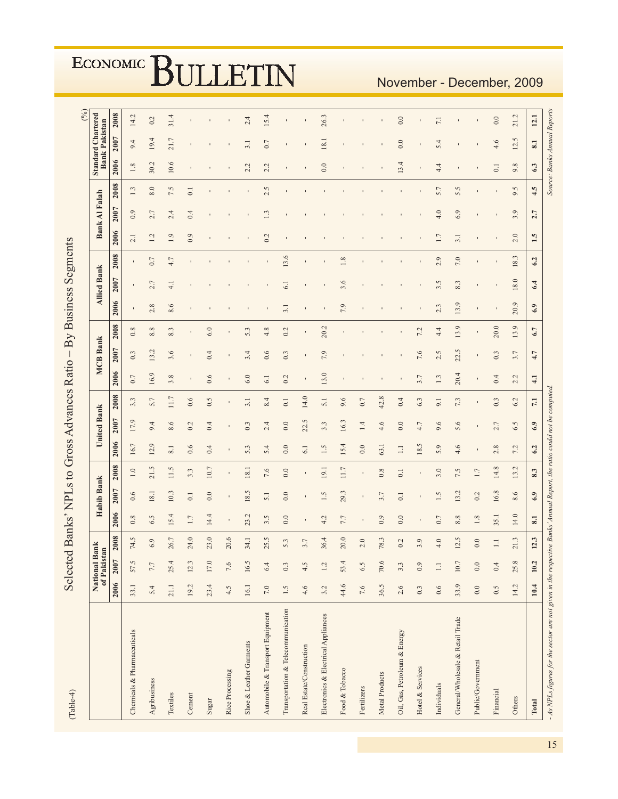| $(Table-4)$                                                                                                                   |         | Selected                     |        |         |                  |                  |                       |                    | Banks' NPLs to Gross Advances Ratio- |                 |                         |         |      | By Business Segments     |      |                |                      |                  |                              |                                                   | (9/6) |
|-------------------------------------------------------------------------------------------------------------------------------|---------|------------------------------|--------|---------|------------------|------------------|-----------------------|--------------------|--------------------------------------|-----------------|-------------------------|---------|------|--------------------------|------|----------------|----------------------|------------------|------------------------------|---------------------------------------------------|-------|
|                                                                                                                               |         | National Bank<br>of Pakistan |        |         | Habib Bank       |                  |                       | <b>United Bank</b> |                                      |                 | <b>MCB</b> Bank         |         |      | <b>Allied Bank</b>       |      |                | <b>Bank Al Falah</b> |                  |                              | <b>Standard Chartered</b><br><b>Bank Pakistan</b> |       |
|                                                                                                                               |         | 2006 2007                    | 2008   | 2006    | 2007             | 2008             | 2006                  | 2007               | 2008                                 | 2006            | 2007                    | 2008    | 2006 | 2007                     | 2008 | 2006           | 2007                 | 2008             | 2006                         | 2007                                              | 2008  |
| Chemicals & Pharmaceuticals                                                                                                   | 33.1    | 57.5                         | 74.5   | 0.8     | 0.6              | $\overline{1.0}$ | 16.7                  | 17.9               | 3.3                                  | 0.7             | 0.3                     | 0.8     |      |                          |      | $\overline{c}$ | 0.9                  | 1.3              | 1.8                          | 9.4                                               | 14.2  |
| Agribusiness                                                                                                                  | 5.4     | $7.7\,$                      | 6.9    | 6.5     | 18.1             | 21.5             | $\overline{O}$<br>12. | 9.4                | 5.7                                  | 16.9            | L,<br>$\overline{13}$ . | $8.8\,$ | 2.8  | $\overline{r}$<br>$\sim$ | 0.7  | 1.2            | 2.7                  | $8.0\,$          | 30.2                         | 19.4                                              | 0.2   |
| Textiles                                                                                                                      | 21.1    | 25.4                         | 26.7   | 15.4    | 10.3             | 11.5             | 8.1                   | 8.6                | 11.7                                 | 3.8             | 3.6                     | 8.3     | 8.6  | $\frac{1}{4}$            | 4.7  | 1.9            | 4<br>2.              | 7.5              | 10.6                         | 21.7                                              | 31.4  |
| $\mbox{Cement}$                                                                                                               | 19.2    | 12.3                         | 24.0   | 1.7     | 0.1              | 3.3              | 0.6                   | 0.2                | 0.6                                  |                 |                         |         |      |                          |      | 0.9            | 0.4                  | $\overline{0}$ . |                              |                                                   |       |
| Sugar                                                                                                                         | 23.4    | 17.0                         | 23.0   | 14.4    | 0.0              | 10.7             | 0.4                   | 0.4                | 0.5                                  | 0.6             | 0.4                     | 6.0     |      |                          |      |                |                      |                  |                              |                                                   |       |
| Rice Processing                                                                                                               | 4.5     | 7.6                          | 20.6   |         |                  |                  |                       |                    |                                      |                 |                         |         |      |                          |      |                |                      |                  |                              |                                                   |       |
| Shoe & Leather Garments                                                                                                       | 16.1    | 16.5                         | 34.1   | 23.2    | 18.5             | 18.1             | 5.3                   | 0.3                | 3.1                                  | 6.0             | 3.4                     | 5.3     |      |                          |      |                |                      |                  | 2.2                          | 3.1                                               | 2.4   |
| Automobile & Transport Equipment                                                                                              | $7.0\,$ | 6.4                          | 25.5   | 3.5     | 5.1              | 7.6              | 5.4                   | 2.4                | 8.4                                  | 6.1             | 0.6                     | 4.8     |      |                          |      | 0.2            | 1.3                  | 2.5              | 2.2                          | 0.7                                               | 15.4  |
| Transportation & Telecommunication                                                                                            | 1.5     | 0.3                          | 5.3    | 0.0     | 0.0              | 0.0              | 0.0                   | 0.0                | $\overline{0}$ .                     | 0.2             | 0.3                     | 0.2     | 3.1  | 5                        | 13.6 |                |                      |                  |                              |                                                   |       |
| Real Estate/Construction                                                                                                      | 4.6     | 4.5                          | 3.7    |         |                  |                  | 6.1                   | 22.5               | 14.0                                 |                 |                         |         |      |                          |      |                |                      |                  |                              |                                                   |       |
| Electronics & Electrical Appliances                                                                                           | 3.2     | 1.2                          | 36.4   | 4.2     | 1.5              | 19.1             | 1.5                   | 3.3                | 5.1                                  | 13.0            | 7.9                     | 20.2    |      |                          |      |                |                      |                  | 0.0                          | 18.1                                              | 26.3  |
| Food & Tobacco                                                                                                                | 44.6    | 53.4                         | 20.0   | 7.7     | 29.3             | 11.7             | 15.4                  | 16.3               | 9.6                                  |                 |                         |         | 7.9  | 3.6                      | 1.8  |                |                      |                  |                              |                                                   |       |
| Fertilizers                                                                                                                   | 7.6     | 6.5                          | 2.0    |         |                  |                  | 0.0                   | 1.4                | 0.7                                  |                 |                         |         |      |                          |      |                |                      |                  |                              |                                                   |       |
| Metal Products                                                                                                                | 36.5    | 70.6                         | 78.3   | 0.9     | 3.7              | 0.8              | 63.1                  | 4.6                | 42.8                                 |                 |                         |         |      |                          |      |                |                      |                  |                              |                                                   |       |
| Oil, Gas, Petroleum & Energy                                                                                                  | 2.6     | 3.3                          | 0.2    | 0.0     | $\overline{0}$ . | $\overline{0}$ . | $\equiv$              | 0.0                | 0.4                                  |                 |                         |         |      |                          |      |                |                      |                  | 13.4                         | 0.0                                               | 0.0   |
| Hotel & Services                                                                                                              | 0.3     | 0.9                          | 3.9    |         |                  |                  | 18.5                  | 4.7                | 6.3                                  | 3.7             | 7.6                     | 7.2     |      |                          |      |                |                      |                  |                              |                                                   |       |
| Individuals                                                                                                                   | 0.6     | $\Box$                       | 4.0    | 0.7     | 1.5              | 3.0              | 5.9                   | 9.6                | 9.1                                  | 1.3             | 2.5                     | 4.4     | 2.3  | 3.5                      | 2.9  | 1.7            | 4.0                  | 5.7              | 4.4                          | 5.4                                               | 7.1   |
| General/Wholesale & Retail Trade                                                                                              | 33.9    | $10.7\,$                     | 12.5   | 8.8     | 13.2             | 7.5              | 4.6                   | 5.6                | 7.3                                  | 20.4            | 22.5                    | 13.9    | 13.9 | 8.3                      | 7.0  | 3.1            | 6.9                  | 5.5              |                              |                                                   |       |
| Public/Government                                                                                                             | 0.0     | 0.0                          | 0.0    | $1.8\,$ | 0.2              | 1.7              |                       |                    |                                      |                 |                         |         |      |                          |      |                |                      |                  |                              |                                                   |       |
| Financial                                                                                                                     | 0.5     | 0.4                          | $\Box$ | 35.1    | 16.8             | 14.8             | $\infty$<br>$\sim$    | 2.7                | 0.3                                  | 0.4             | 0.3                     | 20.0    |      |                          |      |                |                      | $\blacksquare$   | $\overline{0}$ .             | 4.6                                               | 0.0   |
| Others                                                                                                                        | 14.2    | 25.8                         | 21.3   | 14.0    | 8.6              | 13.2             | 7.2                   | 6.5                | 6.2                                  | 2.2             | 3.7                     | 13.9    | 20.9 | 18.0                     | 18.3 | 2.0            | 3.9                  | 9.5              | $\infty$<br>o,               | $\tilde{\zeta}$<br>12.                            | 21.2  |
| Total                                                                                                                         | 10.4    | 10.2                         | 12.3   | 8.1     | 6.9              | 8.3              | 6.2                   | $6.9\,$            | $\overline{1}$                       | $\overline{41}$ | 4.7                     | 6.7     | 6.9  | 6.4                      | 6.2  | 1.5            | 2.7                  | 4.5              | 63                           | 8.1                                               | 12.1  |
| $-4 \times NP$ , figures for the sector are not given in the respective Banks' Annual Report. the ratio could not be computed |         |                              |        |         |                  |                  |                       |                    |                                      |                 |                         |         |      |                          |      |                |                      |                  | Source: Banks Annual Reports |                                                   |       |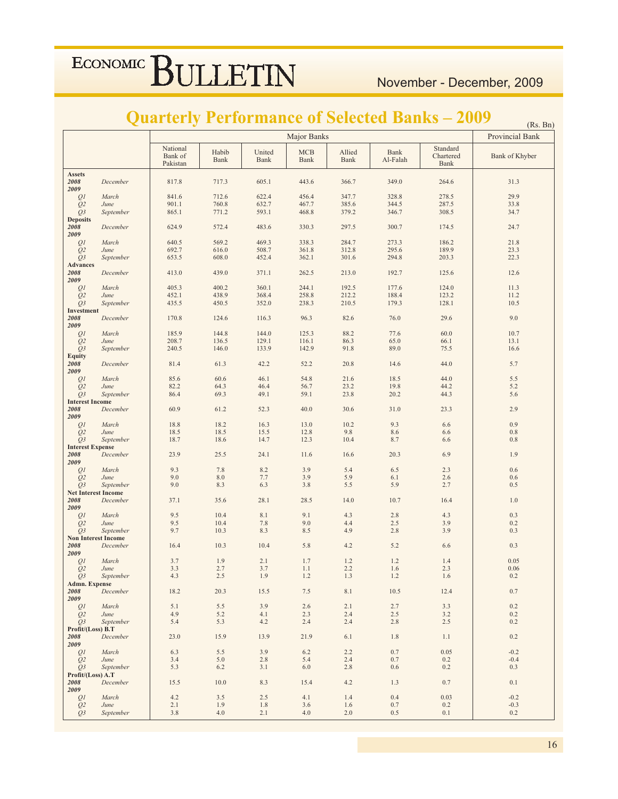## **Quarterly Performance of Selected Banks – 2009 (Rs. Bn)**

|                                  |               |                                 | $(\mathbf{u}, \mathbf{v})$<br>Provincial Bank |                |                          |                       |                  |                                      |                |
|----------------------------------|---------------|---------------------------------|-----------------------------------------------|----------------|--------------------------|-----------------------|------------------|--------------------------------------|----------------|
|                                  |               | National<br>Bank of<br>Pakistan | Habib<br><b>Bank</b>                          | United<br>Bank | $\rm MCB$<br><b>Bank</b> | Allied<br><b>Bank</b> | Bank<br>Al-Falah | Standard<br>Chartered<br><b>Bank</b> | Bank of Khyber |
| <b>Assets</b>                    |               |                                 |                                               |                |                          |                       |                  |                                      |                |
| 2008<br>2009                     | December      | 817.8                           | 717.3                                         | 605.1          | 443.6                    | 366.7                 | 349.0            | 264.6                                | 31.3           |
| Q1                               | March         | 841.6                           | 712.6                                         | 622.4          | 456.4                    | 347.7                 | 328.8            | 278.5                                | 29.9           |
| Q <sub>2</sub>                   | June          | 901.1                           | 760.8                                         | 632.7          | 467.7                    | 385.6                 | 344.5            | 287.5                                | 33.8           |
| $Q_3$                            | September     | 865.1                           | 771.2                                         | 593.1          | 468.8                    | 379.2                 | 346.7            | 308.5                                | 34.7           |
| <b>Deposits</b>                  |               |                                 |                                               |                |                          |                       |                  |                                      |                |
| ${\bf 2008}$<br>2009             | December      | 624.9                           | 572.4                                         | 483.6          | 330.3                    | 297.5                 | 300.7            | 174.5                                | 24.7           |
| $\mathcal{Q}1$                   | March         | 640.5                           | 569.2                                         | 469.3          | 338.3                    | 284.7                 | 273.3            | 186.2                                | 21.8           |
| Q2                               | June          | 692.7                           | 616.0                                         | 508.7          | 361.8                    | 312.8                 | 295.6            | 189.9                                | 23.3           |
| Q <sub>3</sub>                   | September     | 653.5                           | 608.0                                         | 452.4          | 362.1                    | 301.6                 | 294.8            | 203.3                                | 22.3           |
| <b>Advances</b>                  |               |                                 |                                               |                |                          |                       |                  |                                      |                |
| 2008                             | December      | 413.0                           | 439.0                                         | 371.1          | 262.5                    | 213.0                 | 192.7            | 125.6                                | 12.6           |
| 2009                             |               |                                 |                                               |                |                          |                       |                  |                                      |                |
| $\mathcal{Q}1$                   | March         | 405.3                           | 400.2                                         | 360.1          | 244.1                    | 192.5                 | 177.6            | 124.0                                | 11.3           |
| Q <sub>2</sub><br>Q3             | June          | 452.1<br>435.5                  | 438.9<br>450.5                                | 368.4          | 258.8                    | 212.2<br>210.5        | 188.4<br>179.3   | 123.2<br>128.1                       | 11.2           |
| Investment                       | September     |                                 |                                               | 352.0          | 238.3                    |                       |                  |                                      | 10.5           |
| 2008                             | December      | 170.8                           | 124.6                                         | 116.3          | 96.3                     | 82.6                  | 76.0             | 29.6                                 | 9.0            |
| 2009                             |               |                                 |                                               |                |                          |                       |                  |                                      |                |
| Q1                               | March         | 185.9                           | 144.8                                         | 144.0          | 125.3                    | 88.2                  | 77.6             | 60.0                                 | 10.7           |
| $\mathcal{Q}2$                   | June          | 208.7                           | 136.5                                         | 129.1          | 116.1                    | 86.3                  | 65.0             | 66.1                                 | 13.1           |
| Q <sub>3</sub>                   | September     | 240.5                           | 146.0                                         | 133.9          | 142.9                    | 91.8                  | 89.0             | 75.5                                 | 16.6           |
| <b>Equity</b><br>${\bf 2008}$    | December      | 81.4                            | 61.3                                          | 42.2           | 52.2                     | 20.8                  | 14.6             | 44.0                                 | 5.7            |
| 2009                             |               |                                 |                                               |                |                          |                       |                  |                                      |                |
| Q1                               | March         | 85.6                            | 60.6                                          | 46.1           | 54.8                     | 21.6                  | 18.5             | 44.0                                 | 5.5            |
| Q2                               | June          | 82.2                            | 64.3                                          | 46.4           | 56.7                     | 23.2                  | 19.8             | 44.2                                 | 5.2            |
| $Q_3$                            | September     | 86.4                            | 69.3                                          | 49.1           | 59.1                     | 23.8                  | 20.2             | 44.3                                 | 5.6            |
| <b>Interest Income</b>           |               |                                 |                                               |                |                          |                       |                  |                                      |                |
| 2008                             | December      | 60.9                            | 61.2                                          | 52.3           | 40.0                     | 30.6                  | 31.0             | 23.3                                 | 2.9            |
| 2009<br>Q1                       | March         | 18.8                            | 18.2                                          | 16.3           | 13.0                     | $10.2\,$              | 9.3              | 6.6                                  | 0.9            |
| Q <sub>2</sub>                   | June          | 18.5                            | 18.5                                          | 15.5           | 12.8                     | 9.8                   | 8.6              | 6.6                                  | $0.8\,$        |
| Q3                               | September     | 18.7                            | 18.6                                          | 14.7           | 12.3                     | 10.4                  | 8.7              | 6.6                                  | 0.8            |
| <b>Interest Expense</b>          |               |                                 |                                               |                |                          |                       |                  |                                      |                |
| 2008                             | December      | 23.9                            | 25.5                                          | 24.1           | 11.6                     | 16.6                  | 20.3             | 6.9                                  | 1.9            |
| 2009<br>Q1                       | March         | 9.3                             | $7.8\,$                                       | 8.2            | 3.9                      | 5.4                   | 6.5              | 2.3                                  | $0.6\,$        |
| Q2                               | June          | 9.0                             | $8.0\,$                                       | $7.7\,$        | 3.9                      | 5.9                   | 6.1              | 2.6                                  | 0.6            |
| Q3                               | September     | 9.0                             | 8.3                                           | 6.3            | 3.8                      | 5.5                   | 5.9              | 2.7                                  | 0.5            |
| <b>Net Interest Income</b>       |               |                                 |                                               |                |                          |                       |                  |                                      |                |
| 2008                             | December      | 37.1                            | 35.6                                          | 28.1           | 28.5                     | 14.0                  | 10.7             | 16.4                                 | $1.0\,$        |
| 2009                             |               |                                 |                                               |                |                          |                       |                  |                                      |                |
| Q1<br>Q2                         | March<br>June | 9.5<br>9.5                      | 10.4<br>10.4                                  | 8.1<br>$7.8\,$ | 9.1<br>9.0               | 4.3<br>4.4            | 2.8<br>$2.5\,$   | 4.3<br>3.9                           | 0.3<br>$0.2\,$ |
| $Q_3$                            | September     | 9.7                             | 10.3                                          | 8.3            | 8.5                      | 4.9                   | 2.8              | 3.9                                  | 0.3            |
| <b>Non Interest Income</b>       |               |                                 |                                               |                |                          |                       |                  |                                      |                |
| 2008                             | December      | 16.4                            | 10.3                                          | 10.4           | 5.8                      | 4.2                   | 5.2              | 6.6                                  | 0.3            |
| 2009                             |               |                                 |                                               |                |                          |                       |                  |                                      |                |
| Q <sub>1</sub><br>Q <sub>2</sub> | March<br>June | 3.7<br>3.3                      | 1.9<br>2.7                                    | 2.1<br>3.7     | 1.7<br>1.1               | 1.2<br>2.2            | 1.2<br>1.6       | 1.4<br>$2.3\,$                       | 0.05<br>0.06   |
| O <sub>3</sub>                   | September     | 4.3                             | 2.5                                           | 1.9            | 1.2                      | 1.3                   | 1.2              | 1.6                                  | 0.2            |
| <b>Admn. Expense</b>             |               |                                 |                                               |                |                          |                       |                  |                                      |                |
| 2008                             | December      | 18.2                            | 20.3                                          | 15.5           | 7.5                      | 8.1                   | 10.5             | 12.4                                 | 0.7            |
| 2009                             |               |                                 |                                               |                |                          |                       |                  |                                      |                |
| Q <sub>I</sub><br>Q <sub>2</sub> | March<br>June | 5.1<br>4.9                      | 5.5<br>5.2                                    | 3.9<br>4.1     | 2.6<br>2.3               | 2.1<br>2.4            | 2.7<br>2.5       | 3.3<br>3.2                           | 0.2<br>0.2     |
| O <sub>3</sub>                   | September     | 5.4                             | 5.3                                           | 4.2            | 2.4                      | 2.4                   | 2.8              | 2.5                                  | 0.2            |
| Profit/(Loss) B.T                |               |                                 |                                               |                |                          |                       |                  |                                      |                |
| 2008<br>2009                     | December      | 23.0                            | 15.9                                          | 13.9           | 21.9                     | 6.1                   | 1.8              | 1.1                                  | 0.2            |
| Q <sub>I</sub>                   | March         | 6.3                             | 5.5                                           | 3.9            | 6.2                      | 2.2                   | 0.7              | 0.05                                 | $-0.2$         |
| Q <sub>2</sub>                   | June          | 3.4                             | 5.0                                           | 2.8            | 5.4                      | 2.4                   | 0.7              | 0.2                                  | $-0.4$         |
| O <sub>3</sub>                   | September     | 5.3                             | 6.2                                           | 3.1            | 6.0                      | 2.8                   | 0.6              | 0.2                                  | 0.3            |
| Profit/(Loss) A.T                |               |                                 |                                               |                |                          |                       |                  |                                      |                |
| 2008<br>2009                     | December      | 15.5                            | 10.0                                          | 8.3            | 15.4                     | 4.2                   | 1.3              | 0.7                                  | 0.1            |
| Q <sub>I</sub>                   | March         | 4.2                             | 3.5                                           | 2.5            | 4.1                      | 1.4                   | 0.4              | 0.03                                 | $-0.2$         |
| Q <sub>2</sub>                   | June          | 2.1                             | 1.9                                           | 1.8            | 3.6                      | 1.6                   | 0.7              | 0.2                                  | $-0.3$         |
| $Q_3$                            | September     | 3.8                             | 4.0                                           | 2.1            | 4.0                      | 2.0                   | 0.5              | 0.1                                  | 0.2            |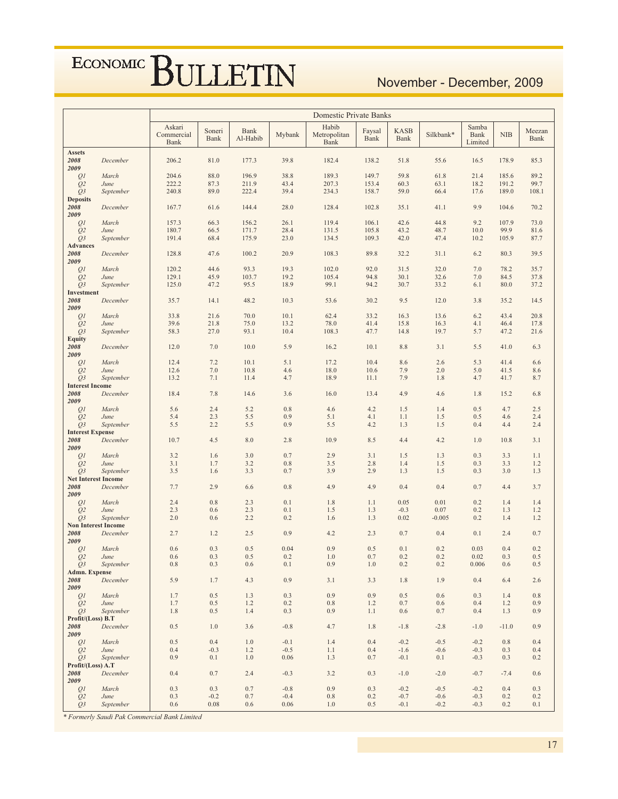## November - December, 2009

|                                           |                            | <b>Domestic Private Banks</b> |                |                         |            |                               |                |                     |            |                          |            |                |
|-------------------------------------------|----------------------------|-------------------------------|----------------|-------------------------|------------|-------------------------------|----------------|---------------------|------------|--------------------------|------------|----------------|
|                                           |                            | Askari<br>Commercial<br>Bank  | Soneri<br>Bank | <b>Bank</b><br>Al-Habib | Mybank     | Habib<br>Metropolitan<br>Bank | Faysal<br>Bank | <b>KASB</b><br>Bank | Silkbank*  | Samba<br>Bank<br>Limited | <b>NIB</b> | Meezan<br>Bank |
| <b>Assets</b>                             |                            |                               |                |                         |            |                               |                |                     |            |                          |            |                |
| 2008<br>2009                              | December                   | 206.2                         | 81.0           | 177.3                   | 39.8       | 182.4                         | 138.2          | 51.8                | 55.6       | 16.5                     | 178.9      | 85.3           |
| Q1                                        | March                      | 204.6                         | 88.0           | 196.9                   | 38.8       | 189.3                         | 149.7          | 59.8                | 61.8       | 21.4                     | 185.6      | 89.2           |
| Q <sub>2</sub>                            | June                       | 222.2                         | 87.3           | 211.9                   | 43.4       | 207.3                         | 153.4          | 60.3                | 63.1       | 18.2                     | 191.2      | 99.7           |
| Q <sub>3</sub>                            | September                  | 240.8                         | 89.0           | 222.4                   | 39.4       | 234.3                         | 158.7          | 59.0                | 66.4       | 17.6                     | 189.0      | 108.1          |
| <b>Deposits</b><br>2008                   |                            | 167.7                         | 61.6           | 144.4                   | 28.0       |                               | 102.8          |                     | 41.1       | 9.9                      | 104.6      | 70.2           |
| 2009                                      | December                   |                               |                |                         |            | 128.4                         |                | 35.1                |            |                          |            |                |
| Q <sub>1</sub>                            | March                      | 157.3                         | 66.3           | 156.2                   | 26.1       | 119.4                         | 106.1          | 42.6                | 44.8       | 9.2                      | 107.9      | 73.0           |
| Q <sub>2</sub>                            | June                       | 180.7                         | 66.5           | 171.7                   | 28.4       | 131.5                         | 105.8          | 43.2                | 48.7       | 10.0                     | 99.9       | 81.6           |
| $Q_3$                                     | September                  | 191.4                         | 68.4           | 175.9                   | 23.0       | 134.5                         | 109.3          | 42.0                | 47.4       | 10.2                     | 105.9      | 87.7           |
| <b>Advances</b>                           |                            |                               |                |                         |            |                               |                |                     |            |                          |            |                |
| 2008<br>2009                              | December                   | 128.8                         | 47.6           | 100.2                   | 20.9       | 108.3                         | 89.8           | 32.2                | 31.1       | 6.2                      | 80.3       | 39.5           |
| Q <sub>1</sub>                            | March                      | 120.2                         | 44.6           | 93.3                    | 19.3       | 102.0                         | 92.0           | 31.5                | 32.0       | 7.0                      | 78.2       | 35.7           |
| Q <sub>2</sub>                            | June                       | 129.1                         | 45.9           | 103.7                   | 19.2       | 105.4                         | 94.8           | 30.1                | 32.6       | 7.0                      | 84.5       | 37.8           |
| Q <sub>3</sub>                            | September                  | 125.0                         | 47.2           | 95.5                    | 18.9       | 99.1                          | 94.2           | 30.7                | 33.2       | 6.1                      | 80.0       | 37.2           |
| <b>Investment</b>                         |                            |                               |                |                         |            |                               |                |                     |            |                          |            |                |
| 2008<br>2009                              | December                   | 35.7                          | 14.1           | 48.2                    | 10.3       | 53.6                          | 30.2           | 9.5                 | 12.0       | 3.8                      | 35.2       | 14.5           |
| Q <sub>1</sub>                            | March                      | 33.8                          | 21.6           | 70.0                    | 10.1       | 62.4                          | 33.2           | 16.3                | 13.6       | 6.2                      | 43.4       | 20.8           |
| Q <sub>2</sub>                            | June                       | 39.6                          | 21.8           | 75.0                    | 13.2       | 78.0                          | 41.4           | 15.8                | 16.3       | 4.1                      | 46.4       | 17.8           |
| $Q_3$                                     | September                  | 58.3                          | 27.0           | 93.1                    | 10.4       | 108.3                         | 47.7           | 14.8                | 19.7       | 5.7                      | 47.2       | 21.6           |
| <b>Equity</b><br>2008                     | December                   | 12.0                          | 7.0            | 10.0                    | 5.9        | 16.2                          | 10.1           | 8.8                 | 3.1        | 5.5                      | 41.0       | 6.3            |
| 2009                                      |                            |                               |                |                         |            |                               |                |                     |            |                          |            |                |
| Q <sub>1</sub>                            | March                      | 12.4                          | 7.2            | 10.1                    | 5.1        | 17.2                          | 10.4           | 8.6                 | 2.6        | 5.3                      | 41.4       | 6.6            |
| Q <sub>2</sub>                            | June                       | 12.6                          | 7.0            | 10.8                    | 4.6        | 18.0                          | 10.6           | 7.9                 | 2.0        | 5.0                      | 41.5       | 8.6            |
| $Q_3$                                     | September                  | 13.2                          | 7.1            | 11.4                    | 4.7        | 18.9                          | 11.1           | 7.9                 | 1.8        | 4.7                      | 41.7       | 8.7            |
| <b>Interest Income</b><br>2008            | December                   | 18.4                          | 7.8            | 14.6                    | 3.6        | 16.0                          | 13.4           | 4.9                 | 4.6        | 1.8                      | 15.2       | 6.8            |
| 2009                                      |                            |                               |                |                         |            |                               |                |                     |            |                          |            |                |
| Q1                                        | March                      | 5.6                           | 2.4            | 5.2                     | 0.8        | 4.6                           | 4.2            | 1.5                 | 1.4        | 0.5                      | 4.7        | 2.5            |
| Q <sub>2</sub>                            | June                       | 5.4                           | 2.3            | 5.5                     | 0.9        | 5.1                           | 4.1            | 1.1                 | 1.5        | 0.5                      | 4.6        | 2.4            |
| Q <sub>3</sub><br><b>Interest Expense</b> | September                  | 5.5                           | 2.2            | 5.5                     | 0.9        | 5.5                           | 4.2            | 1.3                 | 1.5        | 0.4                      | 4.4        | 2.4            |
| 2008                                      | December                   | 10.7                          | 4.5            | 8.0                     | 2.8        | 10.9                          | 8.5            | 4.4                 | 4.2        | 1.0                      | 10.8       | 3.1            |
| 2009                                      |                            |                               |                |                         |            |                               |                |                     |            |                          |            |                |
| Q <sub>1</sub>                            | March                      | 3.2                           | 1.6            | 3.0                     | 0.7        | 2.9                           | 3.1            | 1.5                 | 1.3        | 0.3                      | 3.3        | 1.1            |
| Q <sub>2</sub><br>O <sub>3</sub>          | June<br>September          | 3.1<br>3.5                    | 1.7<br>1.6     | 3.2<br>3.3              | 0.8<br>0.7 | 3.5<br>3.9                    | 2.8<br>2.9     | 1.4<br>1.3          | 1.5<br>1.5 | 0.3<br>0.3               | 3.3<br>3.0 | 1.2<br>1.3     |
| <b>Net Interest Income</b>                |                            |                               |                |                         |            |                               |                |                     |            |                          |            |                |
| 2008                                      | December                   | 7.7                           | 2.9            | 6.6                     | 0.8        | 4.9                           | 4.9            | 0.4                 | 0.4        | 0.7                      | 4.4        | 3.7            |
| 2009<br>Q <sub>1</sub>                    | March                      | 2.4                           | 0.8            | 2.3                     | 0.1        | 1.8                           | 1.1            | 0.05                | 0.01       | 0.2                      | 1.4        | 1.4            |
| Q <sub>2</sub>                            | June                       | 2.3                           | 0.6            | 2.3                     | 0.1        | 1.5                           | 1.3            | $-0.3$              | 0.07       | 0.2                      | 1.3        | 1.2            |
| $Q_3$                                     | September                  | 2.0                           | 0.6            | 2.2                     | 0.2        | 1.6                           | 1.3            | 0.02                | $-0.005$   | 0.2                      | 1.4        | 1.2            |
|                                           | <b>Non Interest Income</b> |                               |                |                         |            |                               |                |                     |            |                          |            |                |
| 2008<br>2009                              | December                   | 2.7                           | 1.2            | 2.5                     | 0.9        | 4.2                           | 2.3            | 0.7                 | 0.4        | 0.1                      | 2.4        | 0.7            |
| Q <sub>1</sub>                            | March                      | 0.6                           | 0.3            | 0.5                     | 0.04       | 0.9                           | 0.5            | 0.1                 | 0.2        | 0.03                     | 0.4        | 0.2            |
| Q <sub>2</sub>                            | June                       | 0.6                           | 0.3            | 0.5                     | 0.2        | 1.0                           | 0.7            | 0.2                 | 0.2        | 0.02                     | 0.3        | 0.5            |
| $Q_3$                                     | September                  | $0.8\,$                       | 0.3            | 0.6                     | 0.1        | 0.9                           | $1.0\,$        | 0.2                 | 0.2        | 0.006                    | 0.6        | 0.5            |
| Admn. Expense                             |                            | 5.9                           | 1.7            | 4.3                     | 0.9        | 3.1                           |                | 1.8                 | 1.9        | 0.4                      |            | 2.6            |
| 2008<br>2009                              | December                   |                               |                |                         |            |                               | 3.3            |                     |            |                          | 6.4        |                |
| Q <sub>I</sub>                            | March                      | 1.7                           | 0.5            | 1.3                     | 0.3        | 0.9                           | 0.9            | 0.5                 | 0.6        | 0.3                      | 1.4        | $0.8\,$        |
| Q <sub>2</sub>                            | June                       | 1.7                           | $0.5\,$        | 1.2                     | 0.2        | $0.8\,$                       | 1.2            | $0.7\,$             | 0.6        | 0.4                      | 1.2        | 0.9            |
| $Q_3$                                     | September                  | 1.8                           | 0.5            | 1.4                     | 0.3        | 0.9                           | 1.1            | 0.6                 | 0.7        | 0.4                      | 1.3        | 0.9            |
| Profit/(Loss) B.T<br>2008                 | December                   | 0.5                           | 1.0            | 3.6                     | $-0.8$     | 4.7                           | 1.8            | $-1.8$              | $-2.8$     | $-1.0$                   | $-11.0$    | 0.9            |
| 2009                                      |                            |                               |                |                         |            |                               |                |                     |            |                          |            |                |
| Q1                                        | March                      | 0.5                           | 0.4            | $1.0\,$                 | $-0.1$     | 1.4                           | 0.4            | $-0.2$              | $-0.5$     | $-0.2$                   | 0.8        | 0.4            |
| Q <sub>2</sub>                            | June                       | 0.4                           | $-0.3$         | 1.2                     | $-0.5$     | 1.1                           | 0.4            | $-1.6$              | $-0.6$     | $-0.3$                   | 0.3        | 0.4            |
| Q <sub>3</sub><br>Profit/(Loss) A.T       | September                  | 0.9                           | 0.1            | 1.0                     | 0.06       | 1.3                           | 0.7            | $-0.1$              | 0.1        | $-0.3$                   | 0.3        | 0.2            |
| 2008                                      | December                   | 0.4                           | 0.7            | 2.4                     | $-0.3$     | 3.2                           | 0.3            | $-1.0$              | $-2.0$     | $-0.7$                   | $-7.4$     | 0.6            |
| 2009                                      |                            |                               |                |                         |            |                               |                |                     |            |                          |            |                |
| Q <sub>1</sub>                            | March                      | 0.3                           | 0.3            | 0.7                     | $-0.8$     | 0.9                           | 0.3            | $-0.2$              | $-0.5$     | $-0.2$                   | 0.4        | 0.3            |
| Q <sub>2</sub>                            | June                       | 0.3                           | $-0.2$         | 0.7                     | $-0.4$     | 0.8                           | 0.2            | $-0.7$              | $-0.6$     | $-0.3$                   | 0.2        | 0.2            |
| Q <sub>3</sub>                            | September                  | 0.6                           | 0.08           | 0.6                     | 0.06       | 1.0                           | 0.5            | $-0.1$              | $-0.2$     | $-0.3$                   | 0.2        | 0.1            |

\* Formerly Saudi Pak Commercial Bank Limited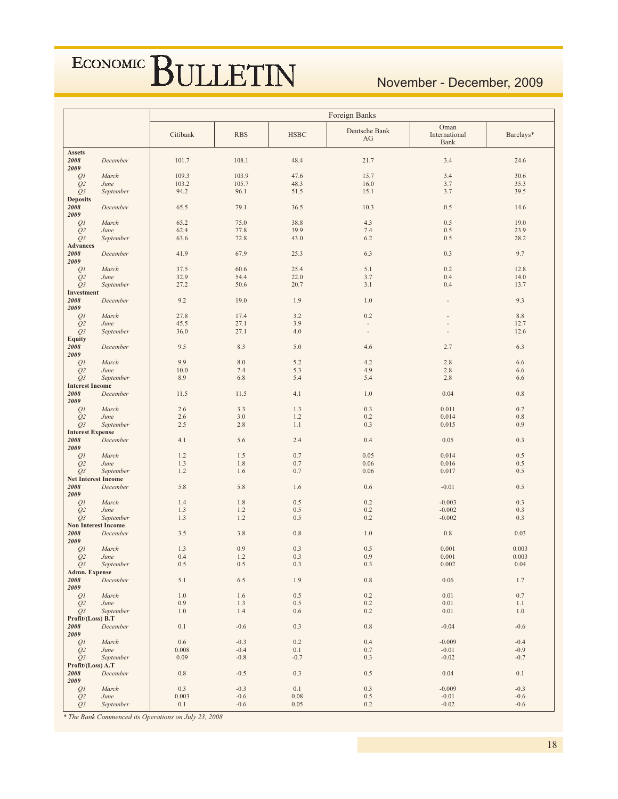## November - December, 2009

|                              |                                         | Foreign Banks    |                  |                    |                                           |                               |                  |  |  |  |
|------------------------------|-----------------------------------------|------------------|------------------|--------------------|-------------------------------------------|-------------------------------|------------------|--|--|--|
|                              |                                         | Citibank         | <b>RBS</b>       | <b>HSBC</b>        | Deutsche Bank<br>AG                       | Oman<br>International<br>Bank | Barclays*        |  |  |  |
| <b>Assets</b><br>2008        | December                                | 101.7            | 108.1            | 48.4               | 21.7                                      | 3.4                           | 24.6             |  |  |  |
| 2009<br>Q1                   | March                                   | 109.3            | 103.9            | 47.6               | 15.7                                      | 3.4                           | 30.6             |  |  |  |
| Q2                           | June                                    | 103.2            | 105.7            | 48.3               | 16.0                                      | 3.7                           | 35.3             |  |  |  |
| $Q_3$                        | September                               | 94.2             | 96.1             | 51.5               | 15.1                                      | 3.7                           | 39.5             |  |  |  |
| <b>Deposits</b>              |                                         |                  |                  |                    |                                           |                               |                  |  |  |  |
| 2008<br>2009                 | December                                | 65.5             | 79.1             | 36.5               | 10.3                                      | 0.5                           | 14.6             |  |  |  |
| Q1                           | March                                   | 65.2             | 75.0             | 38.8               | 4.3                                       | 0.5                           | 19.0             |  |  |  |
| Q <sub>2</sub>               | June                                    | 62.4             | 77.8             | 39.9               | 7.4                                       | 0.5                           | 23.9             |  |  |  |
| Q <sub>3</sub>               | September                               | 63.6             | 72.8             | 43.0               | 6.2                                       | 0.5                           | 28.2             |  |  |  |
| <b>Advances</b><br>2008      | December                                | 41.9             | 67.9             | 25.3               | 6.3                                       | 0.3                           | 9.7              |  |  |  |
| 2009                         |                                         |                  |                  |                    |                                           |                               |                  |  |  |  |
| Q <sub>I</sub>               | March                                   | 37.5             | 60.6             | 25.4               | 5.1                                       | 0.2                           | 12.8             |  |  |  |
| Q <sub>2</sub>               | June                                    | 32.9             | 54.4             | 22.0               | 3.7                                       | 0.4                           | 14.0             |  |  |  |
| Q <sub>3</sub><br>Investment | September                               | 27.2             | 50.6             | 20.7               | 3.1                                       | 0.4                           | 13.7             |  |  |  |
| 2008                         | December                                | 9.2              | 19.0             | 1.9                | 1.0                                       |                               | 9.3              |  |  |  |
| 2009                         |                                         |                  |                  |                    |                                           |                               |                  |  |  |  |
| Q1                           | March                                   | 27.8             | 17.4             | 3.2                | 0.2                                       |                               | $8.8\,$          |  |  |  |
| Q <sub>2</sub><br>Q3         | June<br>September                       | 45.5<br>36.0     | 27.1<br>27.1     | 3.9<br>4.0         | $\frac{1}{2}$<br>$\overline{\phantom{a}}$ |                               | 12.7<br>12.6     |  |  |  |
| <b>Equity</b>                |                                         |                  |                  |                    |                                           |                               |                  |  |  |  |
| 2008                         | December                                | 9.5              | 8.3              | 5.0                | 4.6                                       | 2.7                           | 6.3              |  |  |  |
| 2009                         |                                         |                  |                  |                    |                                           |                               |                  |  |  |  |
| Q1<br>Q2                     | March<br>June                           | 9.9<br>10.0      | 8.0<br>7.4       | 5.2<br>5.3         | 4.2<br>4.9                                | 2.8<br>2.8                    | 6.6<br>6.6       |  |  |  |
| $Q_3$                        | September                               | 8.9              | 6.8              | 5.4                | 5.4                                       | 2.8                           | 6.6              |  |  |  |
| <b>Interest Income</b>       |                                         |                  |                  |                    |                                           |                               |                  |  |  |  |
| 2008                         | December                                | 11.5             | 11.5             | 4.1                | 1.0                                       | 0.04                          | $0.8\,$          |  |  |  |
| 2009<br>Q <sub>1</sub>       | March                                   | 2.6              | 3.3              | 1.3                | 0.3                                       | 0.011                         | 0.7              |  |  |  |
| Q <sub>2</sub>               | June                                    | 2.6              | 3.0              | 1.2                | 0.2                                       | 0.014                         | 0.8              |  |  |  |
| Q <sub>3</sub>               | September                               | 2.5              | 2.8              | 1.1                | 0.3                                       | 0.015                         | 0.9              |  |  |  |
| <b>Interest Expense</b>      |                                         |                  |                  |                    |                                           |                               |                  |  |  |  |
| 2008<br>2009                 | December                                | 4.1              | 5.6              | 2.4                | 0.4                                       | 0.05                          | 0.3              |  |  |  |
| Q <sub>1</sub>               | March                                   | 1.2              | 1.5              | 0.7                | 0.05                                      | 0.014                         | 0.5              |  |  |  |
| Q <sub>2</sub>               | June                                    | 1.3              | 1.8              | 0.7                | 0.06                                      | 0.016                         | 0.5              |  |  |  |
| $Q_3$                        | September                               | 1.2              | 1.6              | 0.7                | 0.06                                      | 0.017                         | 0.5              |  |  |  |
| 2008                         | <b>Net Interest Income</b><br>December  | 5.8              | 5.8              | 1.6                | 0.6                                       | $-0.01$                       | 0.5              |  |  |  |
| 2009                         |                                         |                  |                  |                    |                                           |                               |                  |  |  |  |
| Q <sub>1</sub>               | March                                   | 1.4              | 1.8              | 0.5                | 0.2                                       | $-0.003$                      | 0.3              |  |  |  |
| Q <sub>2</sub>               | June                                    | 1.3              | 1.2              | 0.5                | 0.2                                       | $-0.002$                      | 0.3              |  |  |  |
| Q <sub>3</sub>               | September<br><b>Non Interest Income</b> | 1.3              | 1.2              | 0.5                | 0.2                                       | $-0.002$                      | 0.3              |  |  |  |
| 2008                         | December                                | 3.5              | 3.8              | 0.8                | 1.0                                       | 0.8                           | 0.03             |  |  |  |
| 2009                         |                                         |                  |                  |                    |                                           |                               |                  |  |  |  |
| Q1                           | March<br>June                           | 1.3<br>0.4       | 0.9<br>1.2       | 0.3<br>0.3         | 0.5<br>0.9                                | 0.001<br>0.001                | 0.003<br>0.003   |  |  |  |
| Q <sub>2</sub><br>$Q_3$      | September                               | 0.5              | 0.5              | 0.3                | 0.3                                       | 0.002                         | $0.04\,$         |  |  |  |
| Admn. Expense                |                                         |                  |                  |                    |                                           |                               |                  |  |  |  |
| 2008                         | December                                | 5.1              | 6.5              | 1.9                | $0.8\,$                                   | 0.06                          | 1.7              |  |  |  |
| 2009<br>Q1                   | March                                   | 1.0              | 1.6              | $0.5\,$            | 0.2                                       | 0.01                          | $0.7\,$          |  |  |  |
| Q <sub>2</sub>               | June                                    | 0.9              | 1.3              | $0.5\,$            | 0.2                                       | 0.01                          | 1.1              |  |  |  |
| $Q_3$                        | September                               | 1.0              | 1.4              | 0.6                | 0.2                                       | $0.01\,$                      | $1.0\,$          |  |  |  |
| Profit/(Loss) B.T            |                                         |                  |                  |                    |                                           |                               |                  |  |  |  |
| 2008<br>2009                 | December                                | 0.1              | $-0.6$           | 0.3                | 0.8                                       | $-0.04$                       | $-0.6$           |  |  |  |
| QI                           | March                                   | $0.6\,$<br>0.008 | $-0.3$<br>$-0.4$ | $0.2\,$<br>$0.1\,$ | 0.4<br>0.7                                | $-0.009$                      | $-0.4$<br>$-0.9$ |  |  |  |
| Q2<br>$Q_3$                  | June<br>September                       | 0.09             | $-0.8$           | $-0.7$             | 0.3                                       | $-0.01$<br>$-0.02$            | $-0.7$           |  |  |  |
| Profit/(Loss) A.T            |                                         |                  |                  |                    |                                           |                               |                  |  |  |  |
| 2008<br>2009                 | December                                | 0.8              | $-0.5$           | 0.3                | 0.5                                       | 0.04                          | 0.1              |  |  |  |
| QI                           | March                                   | 0.3              | $-0.3$           | $0.1\,$            | 0.3                                       | $-0.009$                      | $-0.3$           |  |  |  |
| Q <sub>2</sub>               | June                                    | 0.003            | $-0.6$           | $0.08\,$           | 0.5                                       | $-0.01$                       | $-0.6$           |  |  |  |
| Q3                           | September                               | 0.1              | $-0.6$           | 0.05               | $0.2\,$                                   | $-0.02$                       | $-0.6$           |  |  |  |

\* The Bank Commenced its Operations on July 23, 2008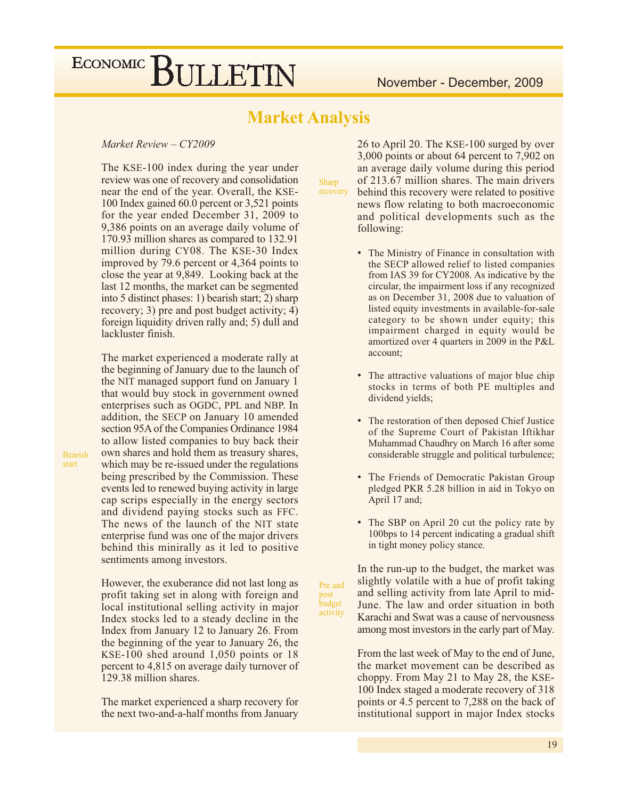### **Market Analysis**

Sharp recovery

Pre and

activity

post budget

### Market Review - CY2009

The KSE-100 index during the year under review was one of recovery and consolidation near the end of the year. Overall, the KSE-100 Index gained 60.0 percent or 3,521 points for the year ended December 31, 2009 to 9,386 points on an average daily volume of 170.93 million shares as compared to 132.91 million during CY08. The KSE-30 Index improved by 79.6 percent or 4,364 points to close the year at 9,849. Looking back at the last 12 months, the market can be segmented into 5 distinct phases: 1) bearish start; 2) sharp recovery; 3) pre and post budget activity;  $4)$ foreign liquidity driven rally and; 5) dull and lackluster finish.

The market experienced a moderate rally at the beginning of January due to the launch of the NIT managed support fund on January 1 that would buy stock in government owned enterprises such as OGDC, PPL and NBP. In addition, the SECP on January 10 amended section 95A of the Companies Ordinance 1984 to allow listed companies to buy back their own shares and hold them as treasury shares, which may be re-issued under the regulations being prescribed by the Commission. These events led to renewed buying activity in large cap scrips especially in the energy sectors and dividend paying stocks such as FFC. The news of the launch of the NIT state enterprise fund was one of the major drivers behind this minirally as it led to positive sentiments among investors.

However, the exuberance did not last long as profit taking set in along with foreign and local institutional selling activity in major Index stocks led to a steady decline in the Index from January 12 to January 26. From the beginning of the year to January 26, the KSE-100 shed around 1,050 points or 18 percent to 4,815 on average daily turnover of 129.38 million shares.

The market experienced a sharp recovery for the next two-and-a-half months from January 26 to April 20. The KSE-100 surged by over 3,000 points or about 64 percent to 7,902 on an average daily volume during this period of 213.67 million shares. The main drivers behind this recovery were related to positive news flow relating to both macroeconomic and political developments such as the following:

- The Ministry of Finance in consultation with the SECP allowed relief to listed companies from IAS 39 for CY2008. As indicative by the circular, the impairment loss if any recognized as on December 31, 2008 due to valuation of listed equity investments in available-for-sale category to be shown under equity; this impairment charged in equity would be amortized over 4 quarters in 2009 in the P&L account;
- The attractive valuations of major blue chip stocks in terms of both PE multiples and dividend yields;
- The restoration of then deposed Chief Justice of the Supreme Court of Pakistan Iftikhar Muhammad Chaudhry on March 16 after some considerable struggle and political turbulence;
- The Friends of Democratic Pakistan Group pledged PKR 5.28 billion in aid in Tokyo on April 17 and;
- The SBP on April 20 cut the policy rate by 100bps to 14 percent indicating a gradual shift in tight money policy stance.

In the run-up to the budget, the market was slightly volatile with a hue of profit taking and selling activity from late April to mid-June. The law and order situation in both Karachi and Swat was a cause of nervousness among most investors in the early part of May.

From the last week of May to the end of June. the market movement can be described as choppy. From May 21 to May 28, the KSE-100 Index staged a moderate recovery of 318 points or 4.5 percent to 7,288 on the back of institutional support in major Index stocks

**Bearish** start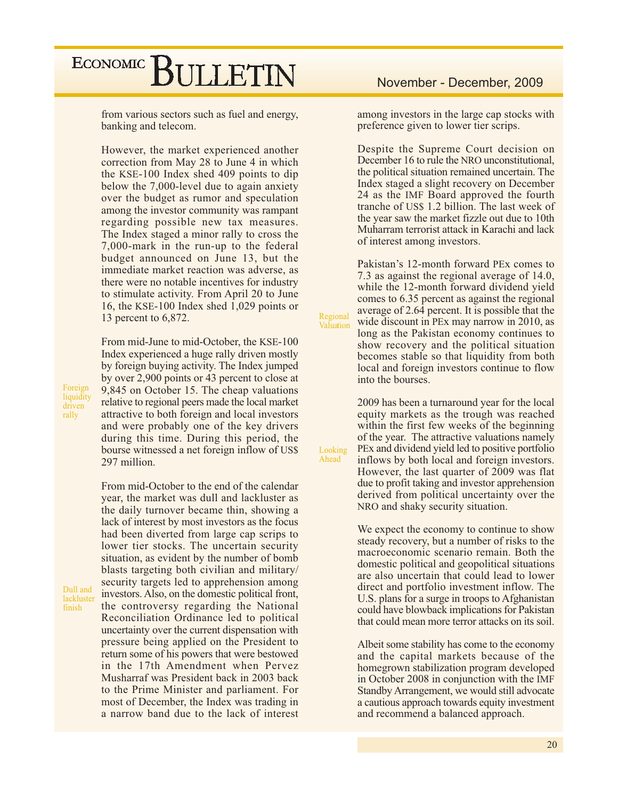from various sectors such as fuel and energy, banking and telecom.

However, the market experienced another correction from May 28 to June 4 in which the KSE-100 Index shed 409 points to dip below the 7,000-level due to again anxiety over the budget as rumor and speculation among the investor community was rampant regarding possible new tax measures. The Index staged a minor rally to cross the 7,000-mark in the run-up to the federal budget announced on June 13, but the immediate market reaction was adverse, as there were no notable incentives for industry to stimulate activity. From April 20 to June 16, the KSE-100 Index shed 1,029 points or 13 percent to 6,872.

From mid-June to mid-October, the KSE-100 Index experienced a huge rally driven mostly by foreign buying activity. The Index jumped by over 2,900 points or 43 percent to close at 9,845 on October 15. The cheap valuations relative to regional peers made the local market attractive to both foreign and local investors and were probably one of the key drivers during this time. During this period, the bourse witnessed a net foreign inflow of US\$ 297 million.

From mid-October to the end of the calendar year, the market was dull and lackluster as the daily turnover became thin, showing a lack of interest by most investors as the focus had been diverted from large cap scrips to lower tier stocks. The uncertain security situation, as evident by the number of bomb blasts targeting both civilian and military/ security targets led to apprehension among investors. Also, on the domestic political front, the controversy regarding the National Reconciliation Ordinance led to political uncertainty over the current dispensation with pressure being applied on the President to return some of his powers that were bestowed in the 17th Amendment when Pervez Musharraf was President back in 2003 back to the Prime Minister and parliament. For most of December, the Index was trading in a narrow band due to the lack of interest

### November - December, 2009

among investors in the large cap stocks with preference given to lower tier scrips.

Despite the Supreme Court decision on December 16 to rule the NRO unconstitutional, the political situation remained uncertain. The Index staged a slight recovery on December 24 as the IMF Board approved the fourth tranche of US\$ 1.2 billion. The last week of the year saw the market fizzle out due to 10th Muharram terrorist attack in Karachi and lack of interest among investors.

Pakistan's 12-month forward PEx comes to 7.3 as against the regional average of 14.0, while the 12-month forward dividend yield comes to 6.35 percent as against the regional average of 2.64 percent. It is possible that the wide discount in PEx may narrow in 2010, as long as the Pakistan economy continues to show recovery and the political situation becomes stable so that liquidity from both local and foreign investors continue to flow into the bourses.

Regional

Valuation

Looking

Ahead

2009 has been a turnaround year for the local equity markets as the trough was reached within the first few weeks of the beginning of the year. The attractive valuations namely PEx and dividend yield led to positive portfolio inflows by both local and foreign investors. However, the last quarter of 2009 was flat due to profit taking and investor apprehension derived from political uncertainty over the NRO and shaky security situation.

We expect the economy to continue to show steady recovery, but a number of risks to the macroeconomic scenario remain. Both the domestic political and geopolitical situations are also uncertain that could lead to lower direct and portfolio investment inflow. The U.S. plans for a surge in troops to Afghanistan could have blowback implications for Pakistan that could mean more terror attacks on its soil.

Albeit some stability has come to the economy and the capital markets because of the homegrown stabilization program developed in October 2008 in conjunction with the IMF Standby Arrangement, we would still advocate a cautious approach towards equity investment and recommend a balanced approach.

Foreign liquidity driven rally

Dull and lackluster finish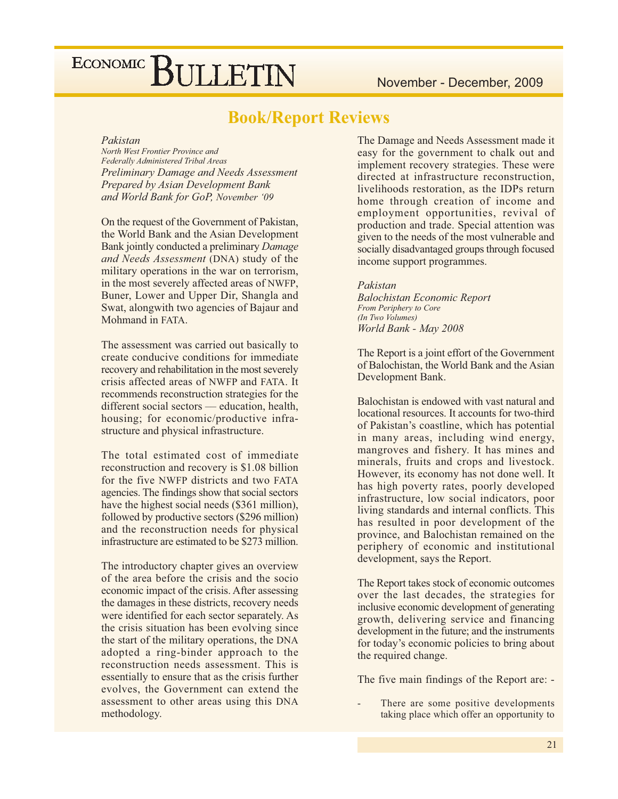### **Book/Report Reviews**

#### Pakistan

North West Frontier Province and Federally Administered Tribal Areas **Preliminary Damage and Needs Assessment** Prepared by Asian Development Bank and World Bank for GoP, November '09

On the request of the Government of Pakistan, the World Bank and the Asian Development Bank jointly conducted a preliminary Damage and Needs Assessment (DNA) study of the military operations in the war on terrorism, in the most severely affected areas of NWFP, Buner, Lower and Upper Dir, Shangla and Swat, alongwith two agencies of Bajaur and Mohmand in FATA.

The assessment was carried out basically to create conducive conditions for immediate recovery and rehabilitation in the most severely crisis affected areas of NWFP and FATA. It recommends reconstruction strategies for the different social sectors — education, health, housing; for economic/productive infrastructure and physical infrastructure.

The total estimated cost of immediate reconstruction and recovery is \$1.08 billion for the five NWFP districts and two FATA agencies. The findings show that social sectors have the highest social needs (\$361 million), followed by productive sectors (\$296 million) and the reconstruction needs for physical infrastructure are estimated to be \$273 million.

The introductory chapter gives an overview of the area before the crisis and the socio economic impact of the crisis. After assessing the damages in these districts, recovery needs were identified for each sector separately. As the crisis situation has been evolving since the start of the military operations, the DNA adopted a ring-binder approach to the reconstruction needs assessment. This is essentially to ensure that as the crisis further evolves, the Government can extend the assessment to other areas using this DNA methodology.

The Damage and Needs Assessment made it easy for the government to chalk out and implement recovery strategies. These were directed at infrastructure reconstruction, livelihoods restoration, as the IDPs return home through creation of income and employment opportunities, revival of production and trade. Special attention was given to the needs of the most vulnerable and socially disadvantaged groups through focused income support programmes.

Pakistan **Balochistan Economic Report** From Periphery to Core (In Two Volumes) World Bank - May 2008

The Report is a joint effort of the Government of Balochistan, the World Bank and the Asian Development Bank.

Balochistan is endowed with vast natural and locational resources. It accounts for two-third of Pakistan's coastline, which has potential in many areas, including wind energy, mangroves and fishery. It has mines and minerals, fruits and crops and livestock. However, its economy has not done well. It has high poverty rates, poorly developed infrastructure, low social indicators, poor living standards and internal conflicts. This has resulted in poor development of the province, and Balochistan remained on the periphery of economic and institutional development, says the Report.

The Report takes stock of economic outcomes over the last decades, the strategies for inclusive economic development of generating growth, delivering service and financing development in the future; and the instruments for today's economic policies to bring about the required change.

The five main findings of the Report are: -

There are some positive developments taking place which offer an opportunity to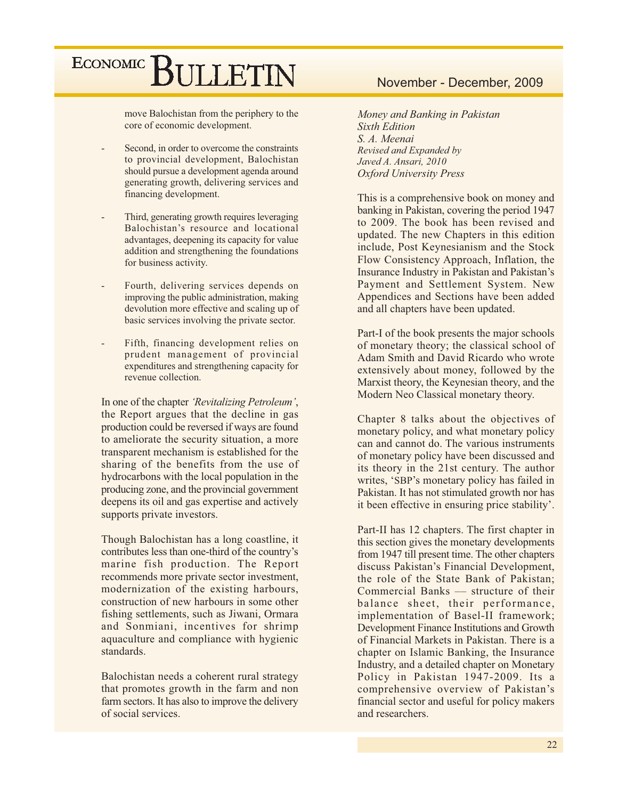move Balochistan from the periphery to the core of economic development.

- Second, in order to overcome the constraints to provincial development, Balochistan should pursue a development agenda around generating growth, delivering services and financing development.
- Third, generating growth requires leveraging Balochistan's resource and locational advantages, deepening its capacity for value addition and strengthening the foundations for business activity.
- Fourth, delivering services depends on improving the public administration, making devolution more effective and scaling up of basic services involving the private sector.
- Fifth, financing development relies on prudent management of provincial expenditures and strengthening capacity for revenue collection.

In one of the chapter 'Revitalizing Petroleum', the Report argues that the decline in gas production could be reversed if ways are found to ameliorate the security situation, a more transparent mechanism is established for the sharing of the benefits from the use of hydrocarbons with the local population in the producing zone, and the provincial government deepens its oil and gas expertise and actively supports private investors.

Though Balochistan has a long coastline, it contributes less than one-third of the country's marine fish production. The Report recommends more private sector investment, modernization of the existing harbours, construction of new harbours in some other fishing settlements, such as Jiwani, Ormara and Sonmiani, incentives for shrimp aquaculture and compliance with hygienic standards.

Balochistan needs a coherent rural strategy that promotes growth in the farm and non farm sectors. It has also to improve the delivery of social services.

### November - December, 2009

Money and Banking in Pakistan **Sixth Edition** S. A. Meenai Revised and Expanded by Javed A. Ansari, 2010 **Oxford University Press** 

This is a comprehensive book on money and banking in Pakistan, covering the period 1947 to 2009. The book has been revised and updated. The new Chapters in this edition include, Post Keynesianism and the Stock Flow Consistency Approach, Inflation, the Insurance Industry in Pakistan and Pakistan's Payment and Settlement System. New Appendices and Sections have been added and all chapters have been updated.

Part-I of the book presents the major schools of monetary theory; the classical school of Adam Smith and David Ricardo who wrote extensively about money, followed by the Marxist theory, the Keynesian theory, and the Modern Neo Classical monetary theory.

Chapter 8 talks about the objectives of monetary policy, and what monetary policy can and cannot do. The various instruments of monetary policy have been discussed and its theory in the 21st century. The author writes, 'SBP's monetary policy has failed in Pakistan. It has not stimulated growth nor has it been effective in ensuring price stability'.

Part-II has 12 chapters. The first chapter in this section gives the monetary developments from 1947 till present time. The other chapters discuss Pakistan's Financial Development, the role of the State Bank of Pakistan; Commercial Banks — structure of their balance sheet, their performance, implementation of Basel-II framework; Development Finance Institutions and Growth of Financial Markets in Pakistan. There is a chapter on Islamic Banking, the Insurance Industry, and a detailed chapter on Monetary Policy in Pakistan 1947-2009. Its a comprehensive overview of Pakistan's financial sector and useful for policy makers and researchers.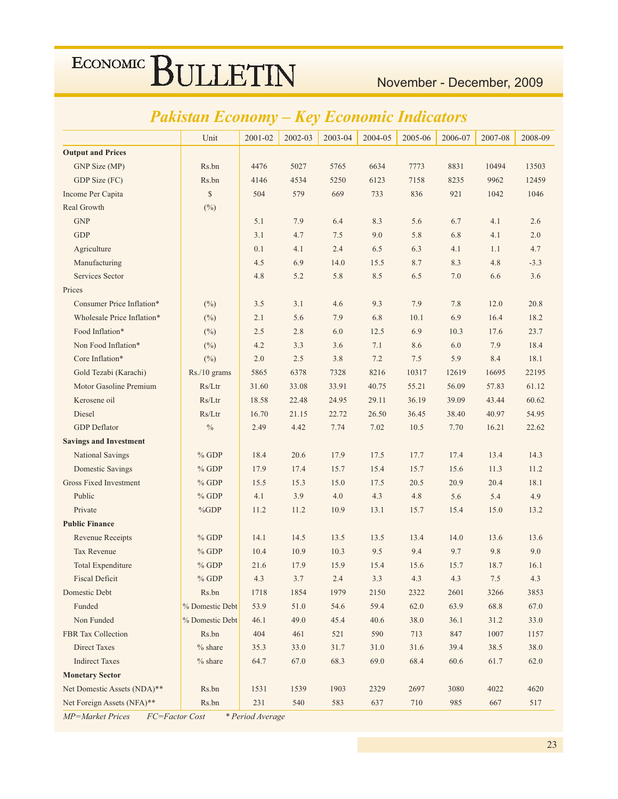## November - December, 2009

## Pakistan Economy - Key Economic Indicators

|                               | Unit            | 2001-02 | 2002-03 | 2003-04 | 2004-05 | 2005-06 | 2006-07 | 2007-08 | 2008-09 |
|-------------------------------|-----------------|---------|---------|---------|---------|---------|---------|---------|---------|
| <b>Output and Prices</b>      |                 |         |         |         |         |         |         |         |         |
| GNP Size (MP)                 | Rs.bn           | 4476    | 5027    | 5765    | 6634    | 7773    | 8831    | 10494   | 13503   |
| GDP Size (FC)                 | Rs.bn           | 4146    | 4534    | 5250    | 6123    | 7158    | 8235    | 9962    | 12459   |
| Income Per Capita             | \$              | 504     | 579     | 669     | 733     | 836     | 921     | 1042    | 1046    |
| Real Growth                   | $(\%)$          |         |         |         |         |         |         |         |         |
| <b>GNP</b>                    |                 | 5.1     | 7.9     | 6.4     | 8.3     | 5.6     | 6.7     | 4.1     | 2.6     |
| <b>GDP</b>                    |                 | 3.1     | 4.7     | 7.5     | 9.0     | 5.8     | 6.8     | 4.1     | 2.0     |
| Agriculture                   |                 | 0.1     | 4.1     | 2.4     | 6.5     | 6.3     | 4.1     | 1.1     | 4.7     |
| Manufacturing                 |                 | 4.5     | 6.9     | 14.0    | 15.5    | 8.7     | 8.3     | 4.8     | $-3.3$  |
| <b>Services Sector</b>        |                 | 4.8     | 5.2     | 5.8     | 8.5     | 6.5     | 7.0     | 6.6     | 3.6     |
| Prices                        |                 |         |         |         |         |         |         |         |         |
| Consumer Price Inflation*     | (%)             | 3.5     | 3.1     | 4.6     | 9.3     | 7.9     | 7.8     | 12.0    | 20.8    |
| Wholesale Price Inflation*    | $(\%)$          | 2.1     | 5.6     | 7.9     | 6.8     | 10.1    | 6.9     | 16.4    | 18.2    |
| Food Inflation*               | $(\%)$          | 2.5     | 2.8     | 6.0     | 12.5    | 6.9     | 10.3    | 17.6    | 23.7    |
| Non Food Inflation*           | $(\%)$          | 4.2     | 3.3     | 3.6     | 7.1     | 8.6     | 6.0     | 7.9     | 18.4    |
| Core Inflation*               | $(\%)$          | 2.0     | 2.5     | 3.8     | 7.2     | 7.5     | 5.9     | 8.4     | 18.1    |
| Gold Tezabi (Karachi)         | Rs./10 grams    | 5865    | 6378    | 7328    | 8216    | 10317   | 12619   | 16695   | 22195   |
| Motor Gasoline Premium        | Rs/Ltr          | 31.60   | 33.08   | 33.91   | 40.75   | 55.21   | 56.09   | 57.83   | 61.12   |
| Kerosene oil                  | Rs/Ltr          | 18.58   | 22.48   | 24.95   | 29.11   | 36.19   | 39.09   | 43.44   | 60.62   |
| Diesel                        | Rs/Ltr          | 16.70   | 21.15   | 22.72   | 26.50   | 36.45   | 38.40   | 40.97   | 54.95   |
| <b>GDP</b> Deflator           | $\%$            | 2.49    | 4.42    | 7.74    | 7.02    | 10.5    | 7.70    | 16.21   | 22.62   |
| <b>Savings and Investment</b> |                 |         |         |         |         |         |         |         |         |
| <b>National Savings</b>       | $%$ GDP         | 18.4    | 20.6    | 17.9    | 17.5    | 17.7    | 17.4    | 13.4    | 14.3    |
| <b>Domestic Savings</b>       | $%$ GDP         | 17.9    | 17.4    | 15.7    | 15.4    | 15.7    | 15.6    | 11.3    | 11.2    |
| <b>Gross Fixed Investment</b> | $%$ GDP         | 15.5    | 15.3    | 15.0    | 17.5    | 20.5    | 20.9    | 20.4    | 18.1    |
| Public                        | $%$ GDP         | 4.1     | 3.9     | 4.0     | 4.3     | 4.8     | 5.6     | 5.4     | 4.9     |
| Private                       | $\%GDP$         | 11.2    | 11.2    | 10.9    | 13.1    | 15.7    | 15.4    | 15.0    | 13.2    |
| <b>Public Finance</b>         |                 |         |         |         |         |         |         |         |         |
| Revenue Receipts              | $%$ GDP         | 14.1    | 14.5    | 13.5    | 13.5    | 13.4    | 14.0    | 13.6    | 13.6    |
| <b>Tax Revenue</b>            | $%$ GDP         | 10.4    | 10.9    | 10.3    | 9.5     | 9.4     | 9.7     | 9.8     | 9.0     |
| <b>Total Expenditure</b>      | $%$ GDP         | 21.6    | 17.9    | 15.9    | 15.4    | 15.6    | 15.7    | 18.7    | 16.1    |
| <b>Fiscal Deficit</b>         | $%$ GDP         | 4.3     | 3.7     | 2.4     | 3.3     | 4.3     | 4.3     | 7.5     | 4.3     |
| Domestic Debt                 | Rs.bn           | 1718    | 1854    | 1979    | 2150    | 2322    | 2601    | 3266    | 3853    |
| Funded                        | % Domestic Debt | 53.9    | 51.0    | 54.6    | 59.4    | 62.0    | 63.9    | 68.8    | 67.0    |
| Non Funded                    | % Domestic Debt | 46.1    | 49.0    | 45.4    | 40.6    | 38.0    | 36.1    | 31.2    | 33.0    |
| <b>FBR</b> Tax Collection     | Rs.bn           | 404     | 461     | 521     | 590     | 713     | 847     | 1007    | 1157    |
| <b>Direct Taxes</b>           | $%$ share       | 35.3    | 33.0    | 31.7    | 31.0    | 31.6    | 39.4    | 38.5    | 38.0    |
| <b>Indirect Taxes</b>         | $%$ share       | 64.7    | 67.0    | 68.3    | 69.0    | 68.4    | 60.6    | 61.7    | 62.0    |
| <b>Monetary Sector</b>        |                 |         |         |         |         |         |         |         |         |
| Net Domestic Assets (NDA)**   | Rs.bn           | 1531    | 1539    | 1903    | 2329    | 2697    | 3080    | 4022    | 4620    |
| Net Foreign Assets (NFA)**    | Rs.bn           | 231     | 540     | 583     | 637     | 710     | 985     | 667     | 517     |

MP=Market Prices FC=Factor Cost \* Period Average